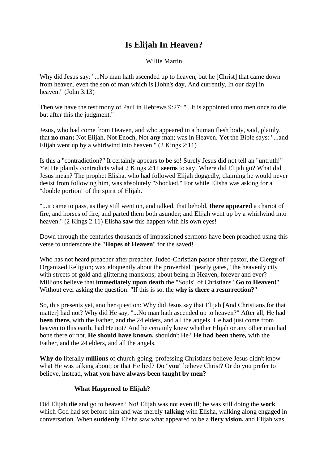# **Is Elijah In Heaven?**

Willie Martin

Why did Jesus say: "...No man hath ascended up to heaven, but he [Christ] that came down from heaven, even the son of man which is [John's day, And currently, In our day] in heaven." (John 3:13)

Then we have the testimony of Paul in Hebrews 9:27: "...It is appointed unto men once to die, but after this the judgment."

Jesus, who had come from Heaven, and who appeared in a human flesh body, said, plainly, that **no man;** Not Elijah, Not Enoch, Not **any** man; was in Heaven. Yet the Bible says: "...and Elijah went up by a whirlwind into heaven." (2 Kings 2:11)

Is this a "contradiction?" It certainly appears to be so! Surely Jesus did not tell an "untruth!" Yet He plainly contradicts what 2 Kings 2:11 **seems** to say! Where did Elijah go? What did Jesus mean? The prophet Elisha, who had followed Elijah doggedly, claiming he would never desist from following him, was absolutely "Shocked." For while Elisha was asking for a "double portion" of the spirit of Elijah.

"...it came to pass, as they still went on, and talked, that behold, **there appeared** a chariot of fire, and horses of fire, and parted them both asunder; and Elijah went up by a whirlwind into heaven." (2 Kings 2:11) Elisha **saw** this happen with his own eyes!

Down through the centuries thousands of impassioned sermons have been preached using this verse to underscore the "**Hopes of Heaven**" for the saved!

Who has not heard preacher after preacher, Judeo-Christian pastor after pastor, the Clergy of Organized Religion; wax eloquently about the proverbial "pearly gates," the heavenly city with streets of gold and glittering mansions; about being in Heaven, forever and ever? Millions believe that **immediately upon death** the "Souls" of Christians "**Go to Heaven!**" Without ever asking the question: "If this is so, the **why is there a resurrection?**"

So, this presents yet, another question: Why did Jesus say that Elijah [And Christians for that matter] had not? Why did He say, "...No man hath ascended up to heaven?" After all, He had **been there,** with the Father, and the 24 elders, and all the angels. He had just come from heaven to this earth, had He not? And he certainly knew whether Elijah or any other man had bone there or not. **He should have known,** shouldn't He? **He had been there,** with the Father, and the 24 elders, and all the angels.

**Why do** literally **millions** of church-going, professing Christians believe Jesus didn't know what He was talking about; or that He lied? Do "**you**" believe Christ? Or do you prefer to believe, instead, **what you have always been taught by men?**

# **What Happened to Elijah?**

Did Elijah **die** and go to heaven? No! Elijah was not even ill; he was still doing the **work** which God had set before him and was merely **talking** with Elisha, walking along engaged in conversation. When **suddenly** Elisha saw what appeared to be a **fiery vision,** and Elijah was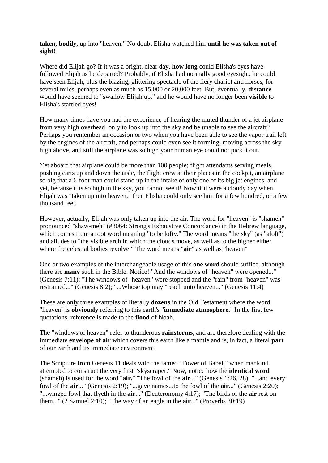**taken, bodily,** up into "heaven." No doubt Elisha watched him **until he was taken out of sight!**

Where did Elijah go? If it was a bright, clear day, **how long** could Elisha's eyes have followed Elijah as he departed? Probably, if Elisha had normally good eyesight, he could have seen Elijah, plus the blazing, glittering spectacle of the fiery chariot and horses, for several miles, perhaps even as much as 15,000 or 20,000 feet. But, eventually, **distance** would have seemed to "swallow Elijah up," and he would have no longer been **visible** to Elisha's startled eyes!

How many times have you had the experience of hearing the muted thunder of a jet airplane from very high overhead, only to look up into the sky and be unable to see the aircraft? Perhaps you remember an occasion or two when you have been able to see the vapor trail left by the engines of the aircraft, and perhaps could even see it forming, moving across the sky high above, and still the airplane was so high your human eye could not pick it out.

Yet aboard that airplane could be more than 100 people; flight attendants serving meals, pushing carts up and down the aisle, the flight crew at their places in the cockpit, an airplane so big that a 6-foot man could stand up in the intake of only one of its big jet engines, and yet, because it is so high in the sky, you cannot see it! Now if it were a cloudy day when Elijah was "taken up into heaven," then Elisha could only see him for a few hundred, or a few thousand feet.

However, actually, Elijah was only taken up into the air. The word for "heaven" is "shameh" pronounced "shaw-meh" (#8064: Strong's Exhaustive Concordance) in the Hebrew language, which comes from a root word meaning "to be lofty." The word means "the sky" (as "aloft") and alludes to "the visible arch in which the clouds move, as well as to the higher either where the celestial bodies revolve." The word means "**air**" as well as "heaven"

One or two examples of the interchangeable usage of this **one word** should suffice, although there are **many** such in the Bible. Notice! "And the windows of "heaven" were opened..." (Genesis 7:11); "The windows of "heaven" were stopped and the "rain" from "heaven" was restrained..." (Genesis 8:2); "...Whose top may "reach unto heaven..." (Genesis 11:4)

These are only three examples of literally **dozens** in the Old Testament where the word "heaven" is **obviously** referring to this earth's "**immediate atmosphere.**" In the first few quotations, reference is made to the **flood** of Noah.

The "windows of heaven" refer to thunderous **rainstorms,** and are therefore dealing with the immediate **envelope of air** which covers this earth like a mantle and is, in fact, a literal **part** of our earth and its immediate environment.

The Scripture from Genesis 11 deals with the famed "Tower of Babel," when mankind attempted to construct the very first "skyscraper." Now, notice how the **identical word** (shameh) is used for the word "**air.**" "The fowl of the **air**..." (Genesis 1:26, 28); "...and every fowl of the **air**..." (Genesis 2:19); "...gave names...to the fowl of the **air**..." (Genesis 2:20); "...winged fowl that flyeth in the **air**..." (Deuteronomy 4:17); "The birds of the **air** rest on them..." (2 Samuel 2:10); "The way of an eagle in the **air**..." (Proverbs 30:19)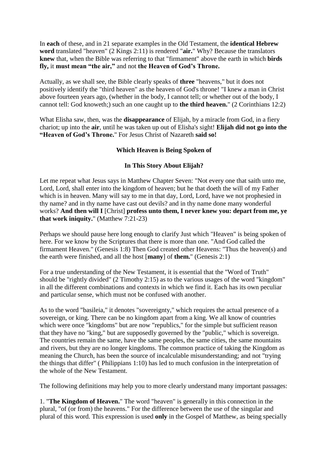In **each** of these, and in 21 separate examples in the Old Testament, the **identical Hebrew word** translated "heaven" (2 Kings 2:11) is rendered "**air.**" Why? Because the translators **knew** that, when the Bible was referring to that "firmament" above the earth in which **birds fly,** it **must mean "the air,"** and not **the Heaven of God's Throne.**

Actually, as we shall see, the Bible clearly speaks of **three** "heavens," but it does not positively identify the "third heaven" as the heaven of God's throne! "I knew a man in Christ above fourteen years ago, (whether in the body, I cannot tell; or whether out of the body, I cannot tell: God knoweth;) such an one caught up to **the third heaven.**" (2 Corinthians 12:2)

What Elisha saw, then, was the **disappearance** of Elijah, by a miracle from God, in a fiery chariot; up into the **air**, until he was taken up out of Elisha's sight! **Elijah did not go into the "Heaven of God's Throne.**" For Jesus Christ of Nazareth **said so!**

## **Which Heaven is Being Spoken of**

#### **In This Story About Elijah?**

Let me repeat what Jesus says in Matthew Chapter Seven: "Not every one that saith unto me, Lord, Lord, shall enter into the kingdom of heaven; but he that doeth the will of my Father which is in heaven. Many will say to me in that day, Lord, Lord, have we not prophesied in thy name? and in thy name have cast out devils? and in thy name done many wonderful works? **And then will I** [Christ] **profess unto them, I never knew you: depart from me, ye that work iniquity.**" (Matthew 7:21-23)

Perhaps we should pause here long enough to clarify Just which "Heaven" is being spoken of here. For we know by the Scriptures that there is more than one. "And God called the firmament Heaven." (Genesis 1:8) Then God created other Heavens: "Thus the heaven(s) and the earth were finished, and all the host [**many**] of **them.**" (Genesis 2:1)

For a true understanding of the New Testament, it is essential that the "Word of Truth" should be "rightly divided" (2 Timothy 2:15) as to the various usages of the word "kingdom" in all the different combinations and contexts in which we find it. Each has its own peculiar and particular sense, which must not be confused with another.

As to the word "basileia," it denotes "sovereignty," which requires the actual presence of a sovereign, or king. There can be no kingdom apart from a king. We all know of countries which were once "kingdoms" but are now "republics," for the simple but sufficient reason that they have no "king," but are supposedly governed by the "public," which is sovereign. The countries remain the same, have the same peoples, the same cities, the same mountains and rivers, but they are no longer kingdoms. The common practice of taking the Kingdom as meaning the Church, has been the source of incalculable misunderstanding; and not "trying the things that differ" ( Philippians 1:10) has led to much confusion in the interpretation of the whole of the New Testament.

The following definitions may help you to more clearly understand many important passages:

1. "**The Kingdom of Heaven.**" The word "heaven" is generally in this connection in the plural, "of (or from) the heavens." For the difference between the use of the singular and plural of this word. This expression is used **only** in the Gospel of Matthew, as being specially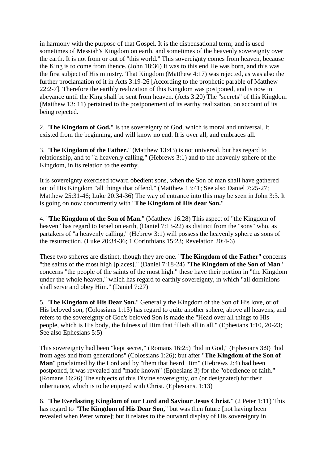in harmony with the purpose of that Gospel. It is the dispensational term; and is used sometimes of Messiah's Kingdom on earth, and sometimes of the heavenly sovereignty over the earth. It is not from or out of "this world." This sovereignty comes from heaven, because the King is to come from thence. (John 18:36) It was to this end He was born, and this was the first subject of His ministry. That Kingdom (Matthew 4:17) was rejected, as was also the further proclamation of it in Acts 3:19-26 [According to the prophetic parable of Matthew 22:2-7]. Therefore the earthly realization of this Kingdom was postponed, and is now in abeyance until the King shall be sent from heaven. (Acts 3:20) The "secrets" of this Kingdom (Matthew 13: 11) pertained to the postponement of its earthy realization, on account of its being rejected.

2. "**The Kingdom of God.**" Is the sovereignty of God, which is moral and universal. It existed from the beginning, and will know no end. It is over all, and embraces all.

3. "**The Kingdom of the Father.**" (Matthew 13:43) is not universal, but has regard to relationship, and to "a heavenly calling," (Hebrews 3:1) and to the heavenly sphere of the Kingdom, in its relation to the earthy.

It is sovereignty exercised toward obedient sons, when the Son of man shall have gathered out of His Kingdom "all things that offend." (Matthew 13:41; See also Daniel 7:25-27; Matthew 25:31-46; Luke 20:34-36) The way of entrance into this may be seen in John 3:3. It is going on now concurrently with "**The Kingdom of His dear Son.**"

4. "**The Kingdom of the Son of Man.**" (Matthew 16:28) This aspect of "the Kingdom of heaven" has regard to Israel on earth, (Daniel 7:13-22) as distinct from the "sons" who, as partakers of "a heavenly calling," (Hebrew 3:1) will possess the heavenly sphere as sons of the resurrection. (Luke 20:34-36; 1 Corinthians 15:23; Revelation 20:4-6)

These two spheres are distinct, though they are one. "**The Kingdom of the Father**" concerns "the saints of the most high [places]." (Daniel 7:18-24) "**The Kingdom of the Son of Man**" concerns "the people of the saints of the most high." these have their portion in "the Kingdom under the whole heaven," which has regard to earthly sovereignty, in which "all dominions shall serve and obey Him." (Daniel 7:27)

5. "**The Kingdom of His Dear Son.**" Generally the Kingdom of the Son of His love, or of His beloved son, (Colossians 1:13) has regard to quite another sphere, above all heavens, and refers to the sovereignty of God's beloved Son is made the "Head over all things to His people, which is His body, the fulness of Him that filleth all in all." (Ephesians 1:10, 20-23; See also Ephesians 5:5)

This sovereignty had been "kept secret," (Romans 16:25) "hid in God," (Ephesians 3:9) "hid from ages and from generations" (Colossians 1:26); but after "**The Kingdom of the Son of Man**" proclaimed by the Lord and by "them that heard Him" (Hebrews 2:4) had been postponed, it was revealed and "made known" (Ephesians 3) for the "obedience of faith." (Romans 16:26) The subjects of this Divine sovereignty, on (or designated) for their inheritance, which is to be enjoyed with Christ. (Ephesians. 1:13)

6. "**The Everlasting Kingdom of our Lord and Saviour Jesus Christ.**" (2 Peter 1:11) This has regard to "**The Kingdom of His Dear Son,**" but was then future [not having been revealed when Peter wrote]; but it relates to the outward display of His sovereignty in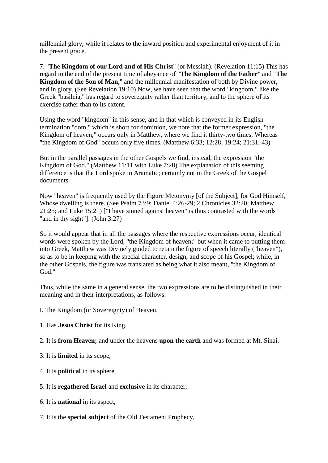millennial glory; while it relates to the inward position and experimental enjoyment of it in the present grace.

7. "**The Kingdom of our Lord and of His Christ**" (or Messiah). (Revelation 11:15) This has regard to the end of the present time of abeyance of "**The Kingdom of the Father**" and "**The Kingdom of the Son of Man,**" and the millennial manifestation of both by Divine power, and in glory. (See Revelation 19:10) Now, we have seen that the word "kingdom," like the Greek "basileia," has regard to sovereignty rather than territory, and to the sphere of its exercise rather than to its extent.

Using the word "kingdom" in this sense, and in that which is conveyed in its English termination "dom," which is short for dominion, we note that the former expression, "the Kingdom of heaven," occurs only in Matthew, where we find it thirty-two times. Whereas "the Kingdom of God" occurs only five times. (Matthew 6:33; 12:28; 19:24; 21:31, 43)

But in the parallel passages in the other Gospels we find, instead, the expression "the Kingdom of God." (Matthew 11:11 with Luke 7:28) The explanation of this seeming difference is that the Lord spoke in Aramatic; certainly not in the Greek of the Gospel documents.

Now "heaven" is frequently used by the Figure Metonymy [of the Subject], for God Himself, Whose dwelling is there. (See Psalm 73:9; Daniel 4:26-29; 2 Chronicles 32:20; Matthew 21:25; and Luke 15:21) ["I have sinned against heaven" is thus contrasted with the words "and in thy sight"]. (John 3:27)

So it would appear that in all the passages where the respective expressions occur, identical words were spoken by the Lord, "the Kingdom of heaven;" but when it came to putting them into Greek, Matthew was Divinely guided to retain the figure of speech literally ("heaven"), so as to be in keeping with the special character, design, and scope of his Gospel; while, in the other Gospels, the figure was translated as being what it also meant, "the Kingdom of God."

Thus, while the same in a general sense, the two expressions are to be distinguished in their meaning and in their interpretations, as follows:

- I. The Kingdom (or Sovereignty) of Heaven.
- 1. Has **Jesus Christ** for its King,

2. It is **from Heaven;** and under the heavens **upon the earth** and was formed at Mt. Sinai,

- 3. It is **limited** in its scope,
- 4. It is **political** in its sphere,
- 5. It is **regathered Israel** and **exclusive** in its character,
- 6. It is **national** in its aspect,
- 7. It is the **special subject** of the Old Testament Prophecy,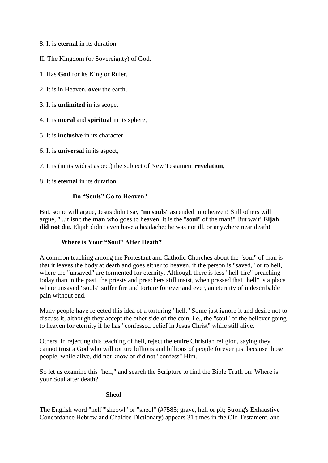- 8. It is **eternal** in its duration.
- II. The Kingdom (or Sovereignty) of God.
- 1. Has **God** for its King or Ruler,
- 2. It is in Heaven, **over** the earth,
- 3. It is **unlimited** in its scope,
- 4. It is **moral** and **spiritual** in its sphere,
- 5. It is **inclusive** in its character.
- 6. It is **universal** in its aspect,

7. It is (in its widest aspect) the subject of New Testament **revelation,**

8. It is **eternal** in its duration.

## **Do "Souls" Go to Heaven?**

But, some will argue, Jesus didn't say "**no souls**" ascended into heaven! Still others will argue, "...it isn't the **man** who goes to heaven; it is the "**soul**" of the man!" But wait! **Eijah**  did not die. Elijah didn't even have a headache; he was not ill, or anywhere near death!

# **Where is Your "Soul" After Death?**

A common teaching among the Protestant and Catholic Churches about the "soul" of man is that it leaves the body at death and goes either to heaven, if the person is "saved," or to hell, where the "unsaved" are tormented for eternity. Although there is less "hell-fire" preaching today than in the past, the priests and preachers still insist, when pressed that "hell" is a place where unsaved "souls" suffer fire and torture for ever and ever, an eternity of indescribable pain without end.

Many people have rejected this idea of a torturing "hell." Some just ignore it and desire not to discuss it, although they accept the other side of the coin, i.e., the "soul" of the believer going to heaven for eternity if he has "confessed belief in Jesus Christ" while still alive.

Others, in rejecting this teaching of hell, reject the entire Christian religion, saying they cannot trust a God who will torture billions and billions of people forever just because those people, while alive, did not know or did not "confess" Him.

So let us examine this "hell," and search the Scripture to find the Bible Truth on: Where is your Soul after death?

#### **Sheol**

The English word "hell""sheowl" or "sheol" (#7585; grave, hell or pit; Strong's Exhaustive Concordance Hebrew and Chaldee Dictionary) appears 31 times in the Old Testament, and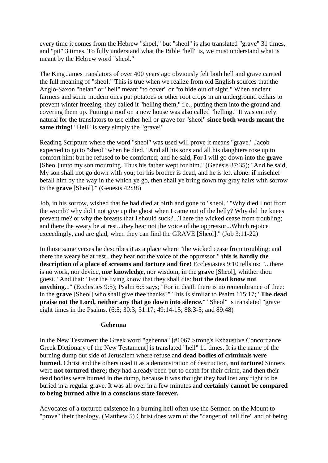every time it comes from the Hebrew "shoel," but "sheol" is also translated "grave" 31 times, and "pit" 3 times. To fully understand what the Bible "hell" is, we must understand what is meant by the Hebrew word "sheol."

The King James translators of over 400 years ago obviously felt both hell and grave carried the full meaning of "sheol." This is true when we realize from old English sources that the Anglo-Saxon "helan" or "hell" meant "to cover" or "to hide out of sight." When ancient farmers and some modern ones put potatoes or other root crops in an underground cellars to prevent winter freezing, they called it "helling them," i.e., putting them into the ground and covering them up. Putting a roof on a new house was also called "helling." It was entirely natural for the translators to use either hell or grave for "sheol" **since both words meant the same thing!** "Hell" is very simply the "grave!"

Reading Scripture where the word "sheol" was used will prove it means "grave." Jacob expected to go to "sheol" when he died. "And all his sons and all his daughters rose up to comfort him: but he refused to be comforted; and he said, For I will go down into the **grave** [Sheol] unto my son mourning. Thus his father wept for him." (Genesis 37:35); "And he said, My son shall not go down with you; for his brother is dead, and he is left alone: if mischief befall him by the way in the which ye go, then shall ye bring down my gray hairs with sorrow to the **grave** [Sheol]." (Genesis 42:38)

Job, in his sorrow, wished that he had died at birth and gone to "sheol." "Why died I not from the womb? why did I not give up the ghost when I came out of the belly? Why did the knees prevent me? or why the breasts that I should suck?...There the wicked cease from troubling; and there the weary be at rest...they hear not the voice of the oppressor...Which rejoice exceedingly, and are glad, when they can find the GRAVE [Sheol]." (Job 3:11-22)

In those same verses he describes it as a place where "the wicked cease from troubling; and there the weary be at rest...they hear not the voice of the oppressor." **this is hardly the description of a place of screams and torture and fire!** Ecclesiastes 9:10 tells us: "...there is no work, nor device, **nor knowledge,** nor wisdom, in the **grave** [Sheol], whither thou goest." And that: "For the living know that they shall die: **but the dead know not anything**..." (Ecclesties 9:5); Psalm 6:5 says; "For in death there is no remembrance of thee: in the **grave** [Sheol] who shall give thee thanks?" This is similar to Psalm 115:17; "**The dead praise not the Lord, neither any that go down into silence.**" "Sheol" is translated "grave eight times in the Psalms. (6:5; 30:3; 31:17; 49:14-15; 88:3-5; and 89:48)

#### **Gehenna**

In the New Testament the Greek word "gehenna" [#1067 Strong's Exhaustive Concordance Greek Dictionary of the New Testament] is translated "hell" 11 times. It is the name of the burning dump out side of Jerusalem where refuse and **dead bodies of criminals were burned.** Christ and the others used it as a demonstration of destruction, **not torture!** Sinners were **not tortured there;** they had already been put to death for their crime, and then their dead bodies were burned in the dump, because it was thought they had lost any right to be buried in a regular grave. It was all over in a few minutes and **certainly cannot be compared to being burned alive in a conscious state forever.**

Advocates of a tortured existence in a burning hell often use the Sermon on the Mount to "prove" their theology. (Matthew 5) Christ does warn of the "danger of hell fire" and of being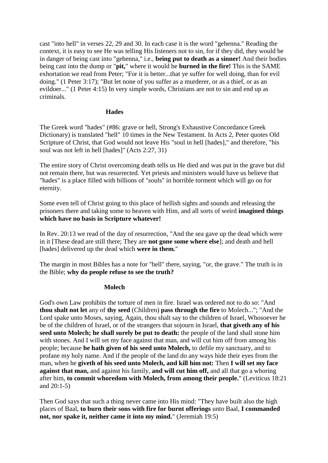cast "into hell" in verses 22, 29 and 30. In each case it is the word "gehenna." Reading the context, it is easy to see He was telling His listeners not to sin, for if they did, they would be in danger of being cast into "gehenna," i.e., **being put to death as a sinner!** And their bodies being cast into the dump or "**pit,**" where it would be **burned in the fire!** This is the SAME exhortation we read from Peter; "For it is better...that ye suffer for well doing, than for evil doing." (1 Peter 3:17); "But let none of you suffer as a murderer, or as a thief, or as an evildoer..." (1 Peter 4:15) In very simple words, Christians are not to sin and end up as criminals.

## **Hades**

The Greek word "hades" (#86: grave or hell, Strong's Exhaustive Concordance Greek Dictionary) is translated "hell" 10 times in the New Testament. In Acts 2, Peter quotes Old Scripture of Christ, that God would not leave His "soul in hell [hades]," and therefore, "his soul was not left in hell [hades]" (Acts 2:27, 31)

The entire story of Christ overcoming death tells us He died and was put in the grave but did not remain there, but was resurrected. Yet priests and ministers would have us believe that "hades" is a place filled with billions of "souls" in horrible torment which will go on for eternity.

Some even tell of Christ going to this place of hellish sights and sounds and releasing the prisoners there and taking some to heaven with Him, and all sorts of weird **imagined things which have no basis in Scripture whatever!**

In Rev. 20:13 we read of the day of resurrection, "And the sea gave up the dead which were in it [These dead are still there; They are **not gone some where else**]; and death and hell [hades] delivered up the dead which **were in them.**"

The margin in most Bibles has a note for "hell" there, saying, "or, the grave." The truth is in the Bible; **why do people refuse to see the truth?**

#### **Molech**

God's own Law prohibits the torture of men in fire. Israel was ordered not to do so: "And **thou shalt not let** any of **thy seed** (Children) **pass through the fire** to Molech..."; "And the Lord spake unto Moses, saying, Again, thou shalt say to the children of Israel, Whosoever he be of the children of Israel, or of the strangers that sojourn in Israel, **that giveth any of his seed unto Molech; he shall surely be put to death:** the people of the land shall stone him with stones. And I will set my face against that man, and will cut him off from among his people; because **he hath given of his seed unto Molech,** to defile my sanctuary, and to profane my holy name. And if the people of the land do any ways hide their eyes from the man, when he **giveth of his seed unto Molech, and kill him not:** Then **I will set my face against that man,** and against his family, **and will cut him off,** and all that go a whoring after him, **to commit whoredom with Molech, from among their people.**" (Leviticus 18:21 and 20:1-5)

Then God says that such a thing never came into His mind: "They have built also the high places of Baal, **to burn their sons with fire for burnt offerings** unto Baal, **I commanded not, nor spake it, neither came it into my mind.**" (Jeremiah 19:5)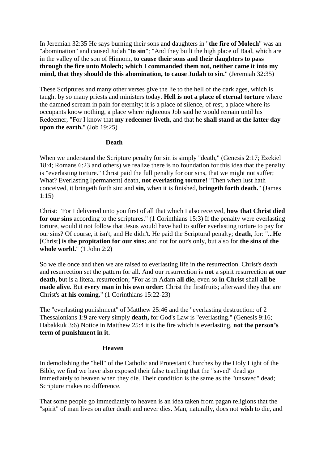In Jeremiah 32:35 He says burning their sons and daughters in "**the fire of Molech**" was an "abomination" and caused Judah "**to sin**"; "And they built the high place of Baal, which are in the valley of the son of Hinnom, **to cause their sons and their daughters to pass through the fire unto Molech; which I commanded them not, neither came it into my mind, that they should do this abomination, to cause Judah to sin.**" (Jeremiah 32:35)

These Scriptures and many other verses give the lie to the hell of the dark ages, which is taught by so many priests and ministers today. **Hell is not a place of eternal torture** where the damned scream in pain for eternity; it is a place of silence, of rest, a place where its occupants know nothing, a place where righteous Job said he would remain until his Redeemer, "For I know that **my redeemer liveth,** and that he **shall stand at the latter day upon the earth.**" (Job 19:25)

#### **Death**

When we understand the Scripture penalty for sin is simply "death," (Genesis 2:17; Ezekiel 18:4; Romans 6:23 and others) we realize there is no foundation for this idea that the penalty is "everlasting torture." Christ paid the full penalty for our sins, that we might not suffer; What? Everlasting [permanent] death, **not everlasting torture!** "Then when lust hath conceived, it bringeth forth sin: and **sin,** when it is finished, **bringeth forth death.**" (James 1:15)

Christ: "For I delivered unto you first of all that which I also received, **how that Christ died for our sins** according to the scriptures." (1 Corinthians 15:3) If the penalty were everlasting torture, would it not follow that Jesus would have had to suffer everlasting torture to pay for our sins? Of course, it isn't, and He didn't. He paid the Scriptural penalty; **death,** for: "...**He** [Christ] **is the propitation for our sins:** and not for our's only, but also for **the sins of the whole world.**" (1 John 2:2)

So we die once and then we are raised to everlasting life in the resurrection. Christ's death and resurrection set the pattern for all. And our resurrection is **not** a spirit resurrection **at our death,** but is a literal resurrection; "For as in Adam **all die,** even so **in Christ** shall **all be made alive.** But **every man in his own order:** Christ the firstfruits; afterward they that are Christ's **at his coming.**" (1 Corinthians 15:22-23)

The "everlasting punishment" of Matthew 25:46 and the "everlasting destruction: of 2 Thessalonians 1:9 are very simply **death,** for God's Law is "everlasting." (Genesis 9:16; Habakkuk 3:6) Notice in Matthew 25:4 it is the fire which is everlasting, **not the person's term of punishment in it.**

# **Heaven**

In demolishing the "hell" of the Catholic and Protestant Churches by the Holy Light of the Bible, we find we have also exposed their false teaching that the "saved" dead go immediately to heaven when they die. Their condition is the same as the "unsaved" dead; Scripture makes no difference.

That some people go immediately to heaven is an idea taken from pagan religions that the "spirit" of man lives on after death and never dies. Man, naturally, does not **wish** to die, and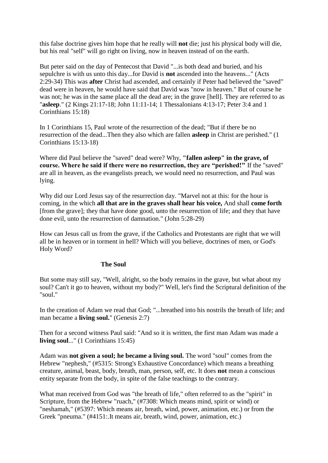this false doctrine gives him hope that he really will **not** die; just his physical body will die, but his real "self" will go right on living, now in heaven instead of on the earth.

But peter said on the day of Pentecost that David "...is both dead and buried, and his sepulchre is with us unto this day...for David is **not** ascended into the heavens..." (Acts 2:29-34) This was **after** Christ had ascended, and certainly if Peter had believed the "saved" dead were in heaven, he would have said that David was "now in heaven." But of course he was not; he was in the same place all the dead are; in the grave [hell]. They are referred to as "**asleep**." (2 Kings 21:17-18; John 11:11-14; 1 Thessalonians 4:13-17; Peter 3:4 and 1 Corinthians 15:18)

In 1 Corinthians 15, Paul wrote of the resurrection of the dead; "But if there be no resurrection of the dead...Then they also which are fallen **asleep** in Christ are perished." (1 Corinthians 15:13-18)

Where did Paul believe the "saved" dead were? Why, **"fallen asleep" in the grave, of course. Where he said if there were no resurrection, they are "perished!"** If the "saved" are all in heaven, as the evangelists preach, we would need no resurrection, and Paul was lying.

Why did our Lord Jesus say of the resurrection day. "Marvel not at this: for the hour is coming, in the which **all that are in the graves shall hear his voice,** And shall **come forth** [from the grave]; they that have done good, unto the resurrection of life; and they that have done evil, unto the resurrection of damnation." (John 5:28-29)

How can Jesus call us from the grave, if the Catholics and Protestants are right that we will all be in heaven or in torment in hell? Which will you believe, doctrines of men, or God's Holy Word?

# **The Soul**

But some may still say, "Well, alright, so the body remains in the grave, but what about my soul? Can't it go to heaven, without my body?" Well, let's find the Scriptural definition of the "soul."

In the creation of Adam we read that God; "...breathed into his nostrils the breath of life; and man became a **living soul.**" (Genesis 2:7)

Then for a second witness Paul said: "And so it is written, the first man Adam was made a **living soul**..." (1 Corinthians 15:45)

Adam was **not given a soul; he became a living soul.** The word "soul" comes from the Hebrew "nephesh," (#5315: Strong's Exhaustive Concordance) which means a breathing creature, animal, beast, body, breath, man, person, self, etc. It does **not** mean a conscious entity separate from the body, in spite of the false teachings to the contrary.

What man received from God was "the breath of life," often referred to as the "spirit" in Scripture, from the Hebrew "ruach," (#7308: Which means mind, spirit or wind) or "neshamah," (#5397: Which means air, breath, wind, power, animation, etc.) or from the Greek "pneuma." (#4151:.It means air, breath, wind, power, animation, etc.)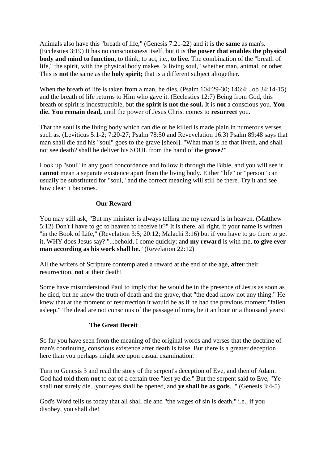Animals also have this "breath of life," (Genesis 7:21-22) and it is the **same** as man's. (Ecclesties 3:19) It has no consciousness itself, but it is **the power that enables the physical body and mind to function,** to think, to act, i.e., **to live.** The combination of the "breath of life," the spirit, with the physical body makes "a living soul," whether man, animal, or other. This is **not** the same as the **holy spirit;** that is a different subject altogether.

When the breath of life is taken from a man, he dies, (Psalm 104:29-30; 146:4; Job 34:14-15) and the breath of life returns to Him who gave it. (Ecclesties 12:7) Being from God, this breath or spirit is indestructible, but **the spirit is not the soul.** It is **not** a conscious you. **You die. You remain dead,** until the power of Jesus Christ comes to **resurrect** you.

That the soul is the living body which can die or be killed is made plain in numerous verses such as. (Leviticus 5:1-2; 7:20-27; Psalm 78:50 and Revevelation 16:3) Psalm 89:48 says that man shall die and his "soul" goes to the grave [sheol]. "What man is he that liveth, and shall not see death? shall he deliver his SOUL from the hand of the **grave?**"

Look up "soul" in any good concordance and follow it through the Bible, and you will see it **cannot** mean a separate existence apart from the living body. Either "life" or "person" can usually be substituted for "soul," and the correct meaning will still be there. Try it and see how clear it becomes.

## **Our Reward**

You may still ask, "But my minister is always telling me my reward is in heaven. (Matthew 5:12) Don't I have to go to heaven to receive it?" It is there, all right, if your name is written "in the Book of Life," (Revelation 3:5; 20:12; Malachi 3:16) but if you have to go there to get it, WHY does Jesus say? "...behold, I come quickly; and **my reward** is with me, **to give ever man according as his work shall be.**" (Revelation 22:12)

All the writers of Scripture contemplated a reward at the end of the age, **after** their resurrection, **not** at their death!

Some have misunderstood Paul to imply that he would be in the presence of Jesus as soon as he died, but he knew the truth of death and the grave, that "the dead know not any thing." He knew that at the moment of resurrection it would be as if he had the previous moment "fallen asleep." The dead are not conscious of the passage of time, be it an hour or a thousand years!

# **The Great Deceit**

So far you have seen from the meaning of the original words and verses that the doctrine of man's continuing, conscious existence after death is false. But there is a greater deception here than you perhaps might see upon casual examination.

Turn to Genesis 3 and read the story of the serpent's deception of Eve, and then of Adam. God had told them **not** to eat of a certain tree "lest ye die." But the serpent said to Eve, "Ye shall **not** surely die...your eyes shall be opened, and **ye shall be as gods**..." (Genesis 3:4-5)

God's Word tells us today that all shall die and "the wages of sin is death," i.e., if you disobey, you shall die!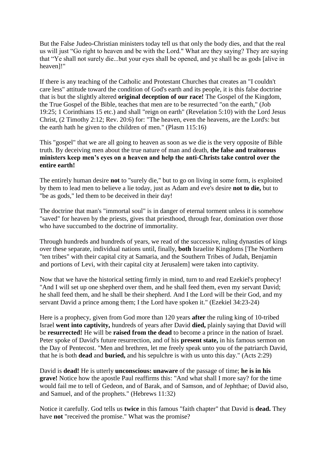But the False Judeo-Christian ministers today tell us that only the body dies, and that the real us will just "Go right to heaven and be with the Lord." What are they saying? They are saying that "Ye shall not surely die...but your eyes shall be opened, and ye shall be as gods [alive in heaven]!"

If there is any teaching of the Catholic and Protestant Churches that creates an "I couldn't care less" attitude toward the condition of God's earth and its people, it is this false doctrine that is but the slightly altered **original deception of our race!** The Gospel of the Kingdom, the True Gospel of the Bible, teaches that men are to be resurrected "on the earth," (Job 19:25; 1 Corinthians 15 etc.) and shall "reign on earth" (Revelation 5:10) with the Lord Jesus Christ, (2 Timothy 2:12; Rev. 20:6) for: "The heaven, even the heavens, are the Lord's: but the earth hath he given to the children of men." (Plasm 115:16)

This "gospel" that we are all going to heaven as soon as we die is the very opposite of Bible truth. By deceiving men about the true nature of man and death, **the false and traitorous ministers keep men's eyes on a heaven and help the anti-Christs take control over the entire earth!**

The entirely human desire **not** to "surely die," but to go on living in some form, is exploited by them to lead men to believe a lie today, just as Adam and eve's desire **not to die,** but to "be as gods," led them to be deceived in their day!

The doctrine that man's "immortal soul" is in danger of eternal torment unless it is somehow "saved" for heaven by the priests, gives that priesthood, through fear, domination over those who have succumbed to the doctrine of immortality.

Through hundreds and hundreds of years, we read of the successive, ruling dynasties of kings over these separate, individual nations until, finally, **both** Israelite Kingdoms [The Northern "ten tribes" with their capital city at Samaria, and the Southern Tribes of Judah, Benjamin and portions of Levi, with their capital city at Jerusalem] were taken into captivity.

Now that we have the historical setting firmly in mind, turn to and read Ezekiel's prophecy! "And I will set up one shepherd over them, and he shall feed them, even my servant David; he shall feed them, and he shall be their shepherd. And I the Lord will be their God, and my servant David a prince among them; I the Lord have spoken it." (Ezekiel 34:23-24)

Here is a prophecy, given from God more than 120 years **after** the ruling king of 10-tribed Israel **went into captivity,** hundreds of years after David **died,** plainly saying that David will be **resurrected!** He will be **raised from the dead** to become a prince in the nation of Israel. Peter spoke of David's future resurrection, and of his **present state,** in his famous sermon on the Day of Pentecost. "Men and brethren, let me freely speak unto you of the patriarch David, that he is both **dead** and **buried,** and his sepulchre is with us unto this day." (Acts 2:29)

David is **dead!** He is utterly **unconscious: unaware** of the passage of time; **he is in his grave!** Notice how the apostle Paul reaffirms this: "And what shall I more say? for the time would fail me to tell of Gedeon, and of Barak, and of Samson, and of Jephthae; of David also, and Samuel, and of the prophets." (Hebrews 11:32)

Notice it carefully. God tells us **twice** in this famous "faith chapter" that David is **dead.** They have **not** "received the promise." What was the promise?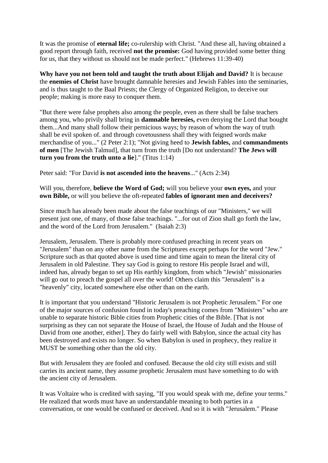It was the promise of **eternal life;** co-rulership with Christ. "And these all, having obtained a good report through faith, received **not the promise:** God having provided some better thing for us, that they without us should not be made perfect." (Hebrews 11:39-40)

**Why have you not been told and taught the truth about Elijah and David?** It is because the **enemies of Christ** have brought damnable heresies and Jewish Fables into the seminaries, and is thus taught to the Baal Priests; the Clergy of Organized Religion, to deceive our people; making is more easy to conquer them.

"But there were false prophets also among the people, even as there shall be false teachers among you, who privily shall bring in **damnable heresies,** even denying the Lord that bought them...And many shall follow their pernicious ways; by reason of whom the way of truth shall be evil spoken of. and through covetousness shall they with feigned words make merchandise of you..." (2 Peter 2:1); "Not giving heed to **Jewish fables,** and **commandments of men** [The Jewish Talmud], that turn from the truth [Do not understand? **The Jews will turn you from the truth unto a lie**]." (Titus 1:14)

Peter said: "For David **is not ascended into the heavens**..." (Acts 2:34)

Will you, therefore, **believe the Word of God;** will you believe your **own eyes,** and your **own Bible,** or will you believe the oft-repeated **fables of ignorant men and deceivers?**

Since much has already been made about the false teachings of our "Ministers," we will present just one, of many, of those false teachings. "...for out of Zion shall go forth the law, and the word of the Lord from Jerusalem." (Isaiah 2:3)

Jerusalem, Jerusalem. There is probably more confused preaching in recent years on "Jerusalem" than on any other name from the Scriptures except perhaps for the word "Jew." Scripture such as that quoted above is used time and time again to mean the literal city of Jerusalem in old Palestine. They say God is going to restore His people Israel and will, indeed has, already began to set up His earthly kingdom, from which "Jewish" missionaries will go out to preach the gospel all over the world! Others claim this "Jerusalem" is a "heavenly" city, located somewhere else other than on the earth.

It is important that you understand "Historic Jerusalem is not Prophetic Jerusalem." For one of the major sources of confusion found in today's preaching comes from "Ministers" who are unable to separate historic Bible cities from Prophetic cities of the Bible. [That is not surprising as they can not separate the House of Israel, the House of Judah and the House of David from one another, either]. They do fairly well with Babylon, since the actual city has been destroyed and exists no longer. So when Babylon is used in prophecy, they realize it MUST be something other than the old city.

But with Jerusalem they are fooled and confused. Because the old city still exists and still carries its ancient name, they assume prophetic Jerusalem must have something to do with the ancient city of Jerusalem.

It was Voltaire who is credited with saying, "If you would speak with me, define your terms." He realized that words must have an understandable meaning to both parties in a conversation, or one would be confused or deceived. And so it is with "Jerusalem." Please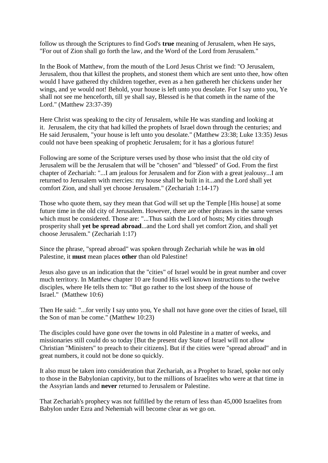follow us through the Scriptures to find God's **true** meaning of Jerusalem, when He says, "For out of Zion shall go forth the law, and the Word of the Lord from Jerusalem."

In the Book of Matthew, from the mouth of the Lord Jesus Christ we find: "O Jerusalem, Jerusalem, thou that killest the prophets, and stonest them which are sent unto thee, how often would I have gathered thy children together, even as a hen gathereth her chickens under her wings, and ye would not! Behold, your house is left unto you desolate. For I say unto you, Ye shall not see me henceforth, till ye shall say, Blessed is he that cometh in the name of the Lord." (Matthew 23:37-39)

Here Christ was speaking to the city of Jerusalem, while He was standing and looking at it. Jerusalem, the city that had killed the prophets of Israel down through the centuries; and He said Jerusalem, "your house is left unto you desolate." (Matthew 23:38; Luke 13:35) Jesus could not have been speaking of prophetic Jerusalem; for it has a glorious future!

Following are some of the Scripture verses used by those who insist that the old city of Jerusalem will be the Jerusalem that will be "chosen" and "blessed" of God. From the first chapter of Zechariah: "...I am jealous for Jerusalem and for Zion with a great jealousy...I am returned to Jerusalem with mercies: my house shall be built in it...and the Lord shall yet comfort Zion, and shall yet choose Jerusalem." (Zechariah 1:14-17)

Those who quote them, say they mean that God will set up the Temple [His house] at some future time in the old city of Jerusalem. However, there are other phrases in the same verses which must be considered. Those are: "...Thus saith the Lord of hosts; My cities through prosperity shall **yet be spread abroad**...and the Lord shall yet comfort Zion, and shall yet choose Jerusalem." (Zechariah 1:17)

Since the phrase, "spread abroad" was spoken through Zechariah while he was **in** old Palestine, it **must** mean places **other** than old Palestine!

Jesus also gave us an indication that the "cities" of Israel would be in great number and cover much territory. In Matthew chapter 10 are found His well known instructions to the twelve disciples, where He tells them to: "But go rather to the lost sheep of the house of Israel." (Matthew 10:6)

Then He said: "...for verily I say unto you, Ye shall not have gone over the cities of Israel, till the Son of man be come." (Matthew 10:23)

The disciples could have gone over the towns in old Palestine in a matter of weeks, and missionaries still could do so today [But the present day State of Israel will not allow Christian "Ministers" to preach to their citizens]. But if the cities were "spread abroad" and in great numbers, it could not be done so quickly.

It also must be taken into consideration that Zechariah, as a Prophet to Israel, spoke not only to those in the Babylonian captivity, but to the millions of Israelites who were at that time in the Assyrian lands and **never** returned to Jerusalem or Palestine.

That Zechariah's prophecy was not fulfilled by the return of less than 45,000 Israelites from Babylon under Ezra and Nehemiah will become clear as we go on.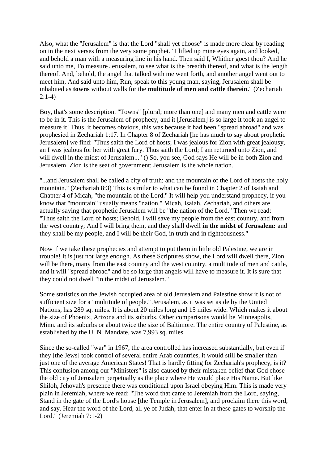Also, what the "Jerusalem" is that the Lord "shall yet choose" is made more clear by reading on in the next verses from the very same prophet. "I lifted up mine eyes again, and looked, and behold a man with a measuring line in his hand. Then said I, Whither goest thou? And he said unto me, To measure Jerusalem, to see what is the breadth thereof, and what is the length thereof. And, behold, the angel that talked with me went forth, and another angel went out to meet him, And said unto him, Run, speak to this young man, saying, Jerusalem shall be inhabited as **towns** without walls for the **multitude of men and cattle therein.**" (Zechariah 2:1-4)

Boy, that's some description. "Towns" [plural; more than one] and many men and cattle were to be in it. This is the Jerusalem of prophecy, and it [Jerusalem] is so large it took an angel to measure it! Thus, it becomes obvious, this was because it had been "spread abroad" and was prophesied in Zechariah 1:17. In Chapter 8 of Zechariah [he has much to say about prophetic Jerusalem] we find: "Thus saith the Lord of hosts; I was jealous for Zion with great jealousy, an I was jealous for her with great fury. Thus saith the Lord; I am returned unto Zion, and will dwell in the midst of Jerusalem..." () So, you see, God says He will be in both Zion and Jerusalem. Zion is the seat of government; Jerusalem is the whole nation.

"...and Jerusalem shall be called a city of truth; and the mountain of the Lord of hosts the holy mountain." (Zechariah 8:3) This is similar to what can be found in Chapter 2 of Isaiah and Chapter 4 of Micah, "the mountain of the Lord." It will help you understand prophecy, if you know that "mountain" usually means "nation." Micah, Isaiah, Zechariah, and others are actually saying that prophetic Jerusalem will be "the nation of the Lord." Then we read: "Thus saith the Lord of hosts; Behold, I will save my people from the east country, and from the west country; And I will bring them, and they shall dwell **in the midst of Jerusalem:** and they shall be my people, and I will be their God, in truth and in righteousness."

Now if we take these prophecies and attempt to put them in little old Palestine, we are in trouble! It is just not large enough. As these Scriptures show, the Lord will dwell there, Zion will be there, many from the east country and the west country, a multitude of men and cattle, and it will "spread abroad" and be so large that angels will have to measure it. It is sure that they could not dwell "in the midst of Jerusalem."

Some statistics on the Jewish occupied area of old Jerusalem and Palestine show it is not of sufficient size for a "multitude of people." Jerusalem, as it was set aside by the United Nations, has 289 sq. miles. It is about 20 miles long and 15 miles wide. Which makes it about the size of Phoenix, Arizona and its suburbs. Other comparisons would be Minneapolis, Minn. and its suburbs or about twice the size of Baltimore. The entire country of Palestine, as established by the U. N. Mandate, was 7,993 sq. miles.

Since the so-called "war" in 1967, the area controlled has increased substantially, but even if they [the Jews] took control of several entire Arab countries, it would still be smaller than just one of the average American States! That is hardly fitting for Zechariah's prophecy, is it? This confusion among our "Ministers" is also caused by their mistaken belief that God chose the old city of Jerusalem perpetually as the place where He would place His Name. But like Shiloh, Jehovah's presence there was conditional upon Israel obeying Him. This is made very plain in Jeremiah, where we read: "The word that came to Jeremiah from the Lord, saying, Stand in the gate of the Lord's house [the Temple in Jerusalem], and proclaim there this word, and say. Hear the word of the Lord, all ye of Judah, that enter in at these gates to worship the Lord." (Jeremiah 7:1-2)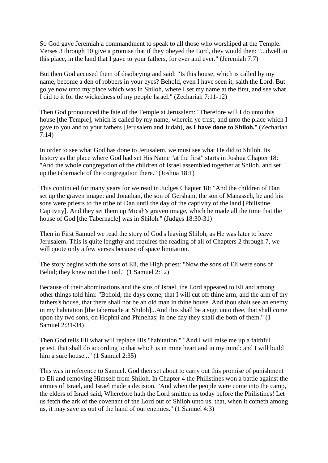So God gave Jeremiah a commandment to speak to all those who worshiped at the Temple. Verses 3 through 10 give a promise that if they obeyed the Lord, they would then: "...dwell in this place, in the land that I gave to your fathers, for ever and ever." (Jeremiah 7:7)

But then God accused them of disobeying and said: "Is this house, which is called by my name, become a den of robbers in your eyes? Behold, even I have seen it, saith the Lord. But go ye now unto my place which was in Shiloh, where I set my name at the first, and see what I did to it for the wickedness of my people Israel." (Zechariah 7:11-12)

Then God pronounced the fate of the Temple at Jerusalem: "Therefore will I do unto this house [the Temple], which is called by my name, wherein ye trust, and unto the place which I gave to you and to your fathers [Jerusalem and Judah], **as I have done to Shiloh.**" (Zechariah 7:14)

In order to see what God has done to Jerusalem, we must see what He did to Shiloh. Its history as the place where God had set His Name "at the first" starts in Joshua Chapter 18: "And the whole congregation of the children of Israel assembled together at Shiloh, and set up the tabernacle of the congregation there." (Joshua 18:1)

This continued for many years for we read in Judges Chapter 18: "And the children of Dan set up the graven image: and Jonathan, the son of Gersham, the son of Manasseh, he and his sons were priests to the tribe of Dan until the day of the captivity of the land [Philistine Captivity]. And they set them up Micah's graven image, which he made all the time that the house of God [the Tabernacle] was in Shiloh." (Judges 18:30-31)

Then in First Samuel we read the story of God's leaving Shiloh, as He was later to leave Jerusalem. This is quite lengthy and requires the reading of all of Chapters 2 through 7, we will quote only a few verses because of space limitation.

The story begins with the sons of Eli, the High priest: "Now the sons of Eli were sons of Belial; they knew not the Lord." (1 Samuel 2:12)

Because of their abominations and the sins of Israel, the Lord appeared to Eli and among other things told him: "Behold, the days come, that I will cut off thine arm, and the arm of thy fathers's house, that there shall not be an old man in thine house. And thou shalt see an enemy in my habitation [the tabernacle at Shiloh]...And this shall be a sign unto thee, that shall come upon thy two sons, on Hophni and Phinehas; in one day they shall die both of them." (1 Samuel 2:31-34)

Then God tells Eli what will replace His "habitation." "And I will raise me up a faithful priest, that shall do according to that which is in mine heart and in my mind: and I will build him a sure house..." (1 Samuel 2:35)

This was in reference to Samuel. God then set about to carry out this promise of punishment to Eli and removing Himself from Shiloh. In Chapter 4 the Philistines won a battle against the armies of Israel, and Israel made a decision. "And when the people were come into the camp, the elders of Israel said, Wherefore hath the Lord smitten us today before the Philistines! Let us fetch the ark of the covenant of the Lord out of Shiloh unto us, that, when it cometh among us, it may save us out of the hand of our enemies." (1 Samuel 4:3)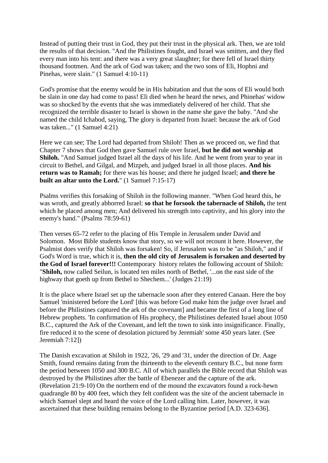Instead of putting their trust in God, they put their trust in the physical ark. Then, we are told the results of that decision. "And the Philistines fought, and Israel was smitten, and they fled every man into his tent: and there was a very great slaughter; for there fell of Israel thirty thousand footmen. And the ark of God was taken; and the two sons of Eli, Hophni and Pinehas, were slain." (1 Samuel 4:10-11)

God's promise that the enemy would be in His habitation and that the sons of Eli would both be slain in one day had come to pass! Eli died when he heard the news, and Phinehas' widow was so shocked by the events that she was immediately delivered of her child. That she recognized the terrible disaster to Israel is shown in the name she gave the baby. "And she named the child Ichabod, saying, The glory is departed from Israel: because the ark of God was taken..." (1 Samuel 4:21)

Here we can see; The Lord had departed from Shiloh! Then as we proceed on, we find that Chapter 7 shows that God then gave Samuel rule over Israel, **but he did not worship at Shiloh.** "And Samuel judged Israel all the days of his life. And he went from year to year in circuit to Bethel, and Gilgal, and Mizpeh, and judged Israel in all those places. **And his return was to Ramah;** for there was his house; and there he judged Israel; **and there he built an altar unto the Lord.**" (1 Samuel 7:15-17)

Psalms verifies this forsaking of Shiloh in the following manner. "When God heard this, he was wroth, and greatly abhorred Israel: **so that he forsook the tabernacle of Shiloh,** the tent which he placed among men; And delivered his strength into captivity, and his glory into the enemy's hand." (Psalms 78:59-61)

Then verses 65-72 refer to the placing of His Temple in Jerusalem under David and Solomon. Most Bible students know that story, so we will not recount it here. However, the Psalmist does verify that Shiloh was forsaken! So, if Jerusalem was to be "as Shiloh," and if God's Word is true, which it is, **then the old city of Jerusalem is forsaken and deserted by the God of Israel forever!!!** Contemporary history relates the following account of Shiloh: "**Shiloh,** now called Seilun, is located ten miles north of Bethel, '...on the east side of the highway that goeth up from Bethel to Shechem...' (Judges 21:19)

It is the place where Israel set up the tabernacle soon after they entered Canaan. Here the boy Samuel 'ministered before the Lord' [this was before God make him the judge over Israel and before the Philistines captured the ark of the covenant] and became the first of a long line of Hebrew prophets. 'In confirmation of His prophecy, the Philistines defeated Israel about 1050 B.C., captured the Ark of the Covenant, and left the town to sink into insignificance. Finally, fire reduced it to the scene of desolation pictured by Jeremiah' some 450 years later. (See Jeremiah 7:12])

The Danish excavation at Shiloh in 1922, '26, '29 and '31, under the direction of Dr. Aage Smith, found remains dating from the thirteenth to the eleventh century B.C., but none form the period between 1050 and 300 B.C. All of which parallels the Bible record that Shiloh was destroyed by the Philistines after the battle of Ebenezer and the capture of the ark. (Revelation 21:9-10) On the northern end of the mound the excavators found a rock-hewn quadrangle 80 by 400 feet, which they felt confident was the site of the ancient tabernacle in which Samuel slept and heard the voice of the Lord calling him. Later, however, it was ascertained that these building remains belong to the Byzantine period [A.D. 323-636].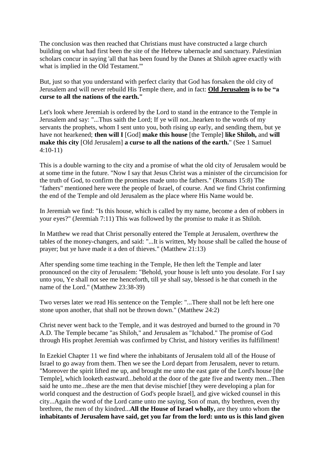The conclusion was then reached that Christians must have constructed a large church building on what had first been the site of the Hebrew tabernacle and sanctuary. Palestinian scholars concur in saying 'all that has been found by the Danes at Shiloh agree exactly with what is implied in the Old Testament.'"

But, just so that you understand with perfect clarity that God has forsaken the old city of Jerusalem and will never rebuild His Temple there, and in fact: **Old Jerusalem is to be "a curse to all the nations of the earth."**

Let's look where Jeremiah is ordered by the Lord to stand in the entrance to the Temple in Jerusalem and say: "...Thus saith the Lord; If ye will not...hearken to the words of my servants the prophets, whom I sent unto you, both rising up early, and sending them, but ye have not hearkened; **then will I** [God] **make this house** [the Temple] **like Shiloh,** and **will make this city** [Old Jerusalem] **a curse to all the nations of the earth.**" (See 1 Samuel 4:10-11)

This is a double warning to the city and a promise of what the old city of Jerusalem would be at some time in the future. "Now I say that Jesus Christ was a minister of the circumcision for the truth of God, to confirm the promises made unto the fathers." (Romans 15:8) The "fathers" mentioned here were the people of Israel, of course. And we find Christ confirming the end of the Temple and old Jerusalem as the place where His Name would be.

In Jeremiah we find: "Is this house, which is called by my name, become a den of robbers in your eyes?" (Jeremiah 7:11) This was followed by the promise to make it as Shiloh.

In Matthew we read that Christ personally entered the Temple at Jerusalem, overthrew the tables of the money-changers, and said: "...It is written, My house shall be called the house of prayer; but ye have made it a den of thieves." (Matthew 21:13)

After spending some time teaching in the Temple, He then left the Temple and later pronounced on the city of Jerusalem: "Behold, your house is left unto you desolate. For I say unto you, Ye shall not see me henceforth, till ye shall say, blessed is he that cometh in the name of the Lord." (Matthew 23:38-39)

Two verses later we read His sentence on the Temple: "...There shall not be left here one stone upon another, that shall not be thrown down." (Matthew 24:2)

Christ never went back to the Temple, and it was destroyed and burned to the ground in 70 A.D. The Temple became "as Shiloh," and Jerusalem as "Ichabod." The promise of God through His prophet Jeremiah was confirmed by Christ, and history verifies its fulfillment!

In Ezekiel Chapter 11 we find where the inhabitants of Jerusalem told all of the House of Israel to go away from them. Then we see the Lord depart from Jerusalem, never to return. "Moreover the spirit lifted me up, and brought me unto the east gate of the Lord's house [the Temple], which looketh eastward...behold at the door of the gate five and twenty men...Then said he unto me...these are the men that devise mischief [they were developing a plan for world conquest and the destruction of God's people Israel], and give wicked counsel in this city...Again the word of the Lord came unto me saying, Son of man, thy brethren, even thy brethren, the men of thy kindred...**All the House of Israel wholly,** are they unto whom **the inhabitants of Jerusalem have said, get you far from the lord: unto us is this land given**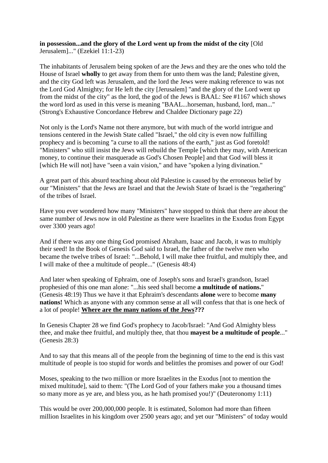#### **in possession...and the glory of the Lord went up from the midst of the city** [Old Jerusalem]..." (Ezekiel 11:1-23)

The inhabitants of Jerusalem being spoken of are the Jews and they are the ones who told the House of Israel **wholly** to get away from them for unto them was the land; Palestine given, and the city God left was Jerusalem, and the lord the Jews were making reference to was not the Lord God Almighty; for He left the city [Jerusalem] "and the glory of the Lord went up from the midst of the city" as the lord, the god of the Jews is BAAL: See #1167 which shows the word lord as used in this verse is meaning "BAAL...horseman, husband, lord, man..." (Strong's Exhaustive Concordance Hebrew and Chaldee Dictionary page 22)

Not only is the Lord's Name not there anymore, but with much of the world intrigue and tensions centered in the Jewish State called "Israel," the old city is even now fulfilling prophecy and is becoming "a curse to all the nations of the earth," just as God foretold! "Ministers" who still insist the Jews will rebuild the Temple [which they may, with American money, to continue their masquerade as God's Chosen People] and that God will bless it [which He will not] have "seen a vain vision," and have "spoken a lying divination."

A great part of this absurd teaching about old Palestine is caused by the erroneous belief by our "Ministers" that the Jews are Israel and that the Jewish State of Israel is the "regathering" of the tribes of Israel.

Have you ever wondered how many "Ministers" have stopped to think that there are about the same number of Jews now in old Palestine as there were Israelites in the Exodus from Egypt over 3300 years ago!

And if there was any one thing God promised Abraham, Isaac and Jacob, it was to multiply their seed! In the Book of Genesis God said to Israel, the father of the twelve men who became the twelve tribes of Israel: "...Behold, I will make thee fruitful, and multiply thee, and I will make of thee a multitude of people..." (Genesis 48:4)

And later when speaking of Ephraim, one of Joseph's sons and Israel's grandson, Israel prophesied of this one man alone: "...his seed shall become **a multitude of nations.**" (Genesis 48:19) Thus we have it that Ephraim's descendants **alone** were to become **many nations!** Which as anyone with any common sense at all will confess that that is one heck of a lot of people! **Where are the many nations of the Jews???**

In Genesis Chapter 28 we find God's prophecy to Jacob/Israel: "And God Almighty bless thee, and make thee fruitful, and multiply thee, that thou **mayest be a multitude of people**..." (Genesis 28:3)

And to say that this means all of the people from the beginning of time to the end is this vast multitude of people is too stupid for words and belittles the promises and power of our God!

Moses, speaking to the two million or more Israelites in the Exodus [not to mention the mixed multitude], said to them: "(The Lord God of your fathers make you a thousand times so many more as ye are, and bless you, as he hath promised you!)" (Deuteronomy 1:11)

This would be over 200,000,000 people. It is estimated, Solomon had more than fifteen million Israelites in his kingdom over 2500 years ago; and yet our "Ministers" of today would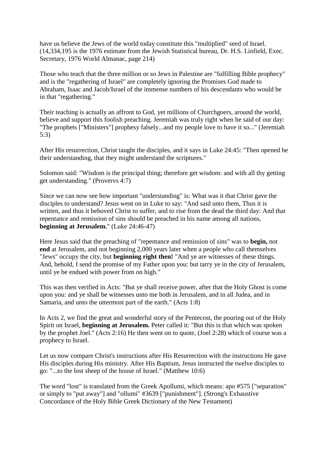have us believe the Jews of the world today constitute this "multiplied" seed of Israel. (14,334,195 is the 1976 estimate from the Jewish Statistical bureau, Dr. H.S. Linfield, Exec. Secretary, 1976 World Almanac, page 214)

Those who teach that the three million or so Jews in Palestine are "fulfilling Bible prophecy" and is the "regathering of Israel" are completely ignoring the Promises God made to Abraham, Isaac and Jacob/Israel of the immense numbers of his descendants who would be in that "regathering."

Their teaching is actually an affront to God, yet millions of Churchgoers, around the world, believe and support this foolish preaching. Jeremiah was truly right when he said of our day: "The prophets ["Ministers"] prophesy falsely...and my people love to have it so..." (Jeremiah 5:3)

After His resurrection, Christ taught the disciples, and it says in Luke 24:45: "Then opened he their understanding, that they might understand the scriptures."

Solomon said: "Wisdom is the principal thing; therefore get wisdom: and with all thy getting get understanding." (Provervs 4:7)

Since we can now see how important "understanding" is: What was it that Christ gave the disciples to understand? Jesus went on in Luke to say: "And said unto them, Thus it is written, and thus it behoved Christ to suffer, and to rise from the dead the third day: And that repentance and remission of sins should be preached in his name among all nations, **beginning at Jerusalem.**" (Luke 24:46-47)

Here Jesus said that the preaching of "repentance and remission of sins" was to **begin,** not **end** at Jerusalem, and not beginning 2,000 years later when a people who call themselves "Jews" occupy the city, but **beginning right then!** "And ye are witnesses of these things. And, behold, I send the promise of my Father upon you: but tarry ye in the city of Jerusalem, until ye be endued with power from on high."

This was then verified in Acts: "But ye shall receive power, after that the Holy Ghost is come upon you: and ye shall be witnesses unto me both in Jerusalem, and in all Judea, and in Samaria, and unto the uttermost part of the earth." (Acts 1:8)

In Acts 2, we find the great and wonderful story of the Pentecost, the pouring out of the Holy Spirit on Israel, **beginning at Jerusalem.** Peter called it: "But this is that which was spoken by the prophet Joel." (Acts 2:16) He then went on to quote, (Joel 2:28) which of course was a prophecy to Israel.

Let us now compare Christ's instructions after His Resurrection with the instructions He gave His disciples during His ministry. After His Baptism, Jesus instructed the twelve disciples to go: "...to the lost sheep of the house of Israel." (Matthew 10:6)

The word "lost" is translated from the Greek Apollumi, which means: apo #575 ["separation" or simply to "put away"] and "ollumi" #3639 ["punishment"]. (Strong's Exhaustive Concordance of the Holy Bible Greek Dictionary of the New Testament)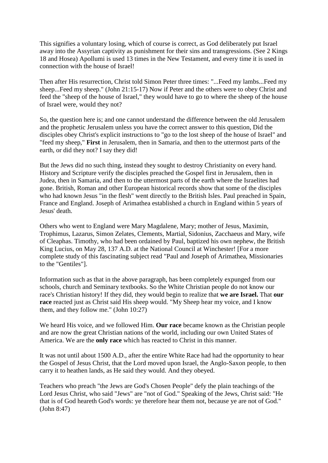This signifies a voluntary losing, which of course is correct, as God deliberately put Israel away into the Assyrian captivity as punishment for their sins and transgressions. (See 2 Kings 18 and Hosea) Apollumi is used 13 times in the New Testament, and every time it is used in connection with the house of Israel!

Then after His resurrection, Christ told Simon Peter three times: "...Feed my lambs...Feed my sheep...Feed my sheep." (John 21:15-17) Now if Peter and the others were to obey Christ and feed the "sheep of the house of Israel," they would have to go to where the sheep of the house of Israel were, would they not?

So, the question here is; and one cannot understand the difference between the old Jerusalem and the prophetic Jerusalem unless you have the correct answer to this question, Did the disciples obey Christ's explicit instructions to "go to the lost sheep of the house of Israel" and "feed my sheep," **First** in Jerusalem, then in Samaria, and then to the uttermost parts of the earth, or did they not? I say they did!

But the Jews did no such thing, instead they sought to destroy Christianity on every hand. History and Scripture verify the disciples preached the Gospel first in Jerusalem, then in Judea, then in Samaria, and then to the uttermost parts of the earth where the Israelites had gone. British, Roman and other European historical records show that some of the disciples who had known Jesus "in the flesh" went directly to the British Isles. Paul preached in Spain, France and England. Joseph of Arimathea established a church in England within 5 years of Jesus' death.

Others who went to England were Mary Magdalene, Mary; mother of Jesus, Maximin, Trophimus, Lazarus, Simon Zelates, Clements, Martial, Sidonius, Zacchaeus and Mary, wife of Cleaphas. Timothy, who had been ordained by Paul, baptized his own nephew, the British King Lucius, on May 28, 137 A.D. at the National Council at Winchester! [For a more complete study of this fascinating subject read "Paul and Joseph of Arimathea, Missionaries to the "Gentiles"].

Information such as that in the above paragraph, has been completely expunged from our schools, church and Seminary textbooks. So the White Christian people do not know our race's Christian history! If they did, they would begin to realize that **we are Israel.** That **our race** reacted just as Christ said His sheep would. "My Sheep hear my voice, and I know them, and they follow me." (John 10:27)

We heard His voice, and we followed Him. **Our race** became known as the Christian people and are now the great Christian nations of the world, including our own United States of America. We are the **only race** which has reacted to Christ in this manner.

It was not until about 1500 A.D., after the entire White Race had had the opportunity to hear the Gospel of Jesus Christ, that the Lord moved upon Israel, the Anglo-Saxon people, to then carry it to heathen lands, as He said they would. And they obeyed.

Teachers who preach "the Jews are God's Chosen People" defy the plain teachings of the Lord Jesus Christ, who said "Jews" are "not of God." Speaking of the Jews, Christ said: "He that is of God heareth God's words: ye therefore hear them not, because ye are not of God." (John 8:47)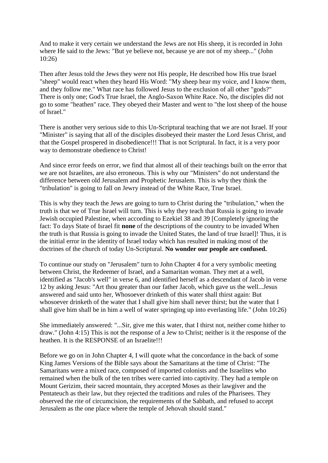And to make it very certain we understand the Jews are not His sheep, it is recorded in John where He said to the Jews: "But ye believe not, because ye are not of my sheep..." (John 10:26)

Then after Jesus told the Jews they were not His people, He described how His true Israel "sheep" would react when they heard His Word: "My sheep hear my voice, and I know them, and they follow me." What race has followed Jesus to the exclusion of all other "gods?" There is only one; God's True Israel, the Anglo-Saxon White Race. No, the disciples did not go to some "heathen" race. They obeyed their Master and went to "the lost sheep of the house of Israel."

There is another very serious side to this Un-Scriptural teaching that we are not Israel. If your "Minister" is saying that all of the disciples disobeyed their master the Lord Jesus Christ, and that the Gospel prospered in disobedience!!! That is not Scriptural. In fact, it is a very poor way to demonstrate obedience to Christ!

And since error feeds on error, we find that almost all of their teachings built on the error that we are not Israelites, are also erroneous. This is why our "Ministers" do not understand the difference between old Jerusalem and Prophetic Jerusalem. This is why they think the "tribulation" is going to fall on Jewry instead of the White Race, True Israel.

This is why they teach the Jews are going to turn to Christ during the "tribulation," when the truth is that we of True Israel will turn. This is why they teach that Russia is going to invade Jewish occupied Palestine, when according to Ezekiel 38 and 39 [Completely ignoring the fact: To days State of Israel fit **none** of the descriptions of the country to be invaded When the truth is that Russia is going to invade the United States, the land of true Israel]! Thus, it is the initial error in the identity of Israel today which has resulted in making most of the doctrines of the church of today Un-Scriptural. **No wonder our people are confused.**

To continue our study on "Jerusalem" turn to John Chapter 4 for a very symbolic meeting between Christ, the Redeemer of Israel, and a Samaritan woman. They met at a well, identified as "Jacob's well" in verse 6, and identified herself as a descendant of Jacob in verse 12 by asking Jesus: "Art thou greater than our father Jacob, which gave us the well...Jesus answered and said unto her, Whosoever drinketh of this water shall thirst again: But whosoever drinketh of the water that I shall give him shall never thirst; but the water that I shall give him shall be in him a well of water springing up into everlasting life." (John 10:26)

She immediately answered: "...Sir, give me this water, that I thirst not, neither come hither to draw." (John 4:15) This is not the response of a Jew to Christ; neither is it the response of the heathen. It is the RESPONSE of an Israelite!!!

Before we go on in John Chapter 4, I will quote what the concordance in the back of some King James Versions of the Bible says about the Samaritans at the time of Christ: "The Samaritans were a mixed race, composed of imported colonists and the Israelites who remained when the bulk of the ten tribes were carried into captivity. They had a temple on Mount Gerizim, their sacred mountain, they accepted Moses as their lawgiver and the Pentateuch as their law, but they rejected the traditions and rules of the Pharisees. They observed the rite of circumcision, the requirements of the Sabbath, and refused to accept Jerusalem as the one place where the temple of Jehovah should stand."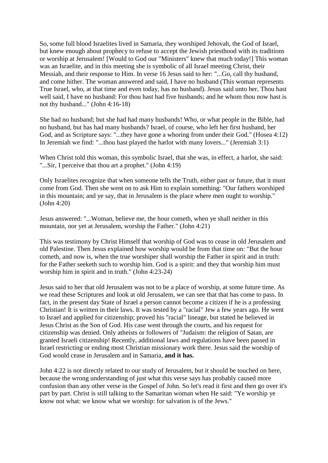So, some full blood Israelites lived in Samaria, they worshiped Jehovah, the God of Israel, but knew enough about prophecy to refuse to accept the Jewish priesthood with its traditions or worship at Jerusalem! [Would to God our "Ministers" knew that much today!] This woman was an Israelite, and in this meeting she is symbolic of all Israel meeting Christ, their Messiah, and their response to Him. In verse 16 Jesus said to her: "...Go, call thy husband, and come hither. The woman answered and said, I have no husband (This woman represents True Israel, who, at that time and even today, has no husband). Jesus said unto her, Thou hast well said, I have no husband: For thou hast had five husbands; and he whom thou now hast is not thy husband..." (John 4:16-18)

She had no husband; but she had had many husbands! Who, or what people in the Bible, had no husband, but has had many husbands? Israel, of course, who left her first husband, her God, and as Scripture says: "...they have gone a whoring from under their God." (Hosea 4:12) In Jeremiah we find: "...thou hast played the harlot with many lovers..." (Jeremiah 3:1)

When Christ told this woman, this symbolic Israel, that she was, in effect, a harlot, she said: "...Sir, I perceive that thou art a prophet." (John 4:19)

Only Israelites recognize that when someone tells the Truth, either past or future, that it must come from God. Then she went on to ask Him to explain something: "Our fathers worshiped in this mountain; and ye say, that in Jerusalem is the place where men ought to worship." (John 4:20)

Jesus answered: "...Woman, believe me, the hour cometh, when ye shall neither in this mountain, nor yet at Jerusalem, worship the Father." (John 4:21)

This was testimony by Christ Himself that worship of God was to cease in old Jerusalem and old Palestine. Then Jesus explained how worship would be from that time on: "But the hour cometh, and now is, when the true worshiper shall worship the Father in spirit and in truth: for the Father seeketh such to worship him. God is a spirit: and they that worship him must worship him in spirit and in truth." (John 4:23-24)

Jesus said to her that old Jerusalem was not to be a place of worship, at some future time. As we read these Scriptures and look at old Jerusalem, we can see that that has come to pass. In fact, in the present day State of Israel a person cannot become a citizen if he is a professing Christian! It is written in their laws. It was tested by a "racial" Jew a few years ago. He went to Israel and applied for citizenship; proved his "racial" lineage, but stated he believed in Jesus Christ as the Son of God. His case went through the courts, and his request for citizenship was denied. Only atheists or followers of "Judaism: the religion of Satan, are granted Israeli citizenship! Recently, additional laws and regulations have been passed in Israel restricting or ending most Christian missionary work there. Jesus said the worship of God would cease in Jerusalem and in Samaria, **and it has.**

John 4:22 is not directly related to our study of Jerusalem, but it should be touched on here, because the wrong understanding of just what this verse says has probably caused more confusion than any other verse in the Gospel of John. So let's read it first and then go over it's part by part. Christ is still talking to the Samaritan woman when He said: "Ye worship ye know not what: we know what we worship: for salvation is of the Jews."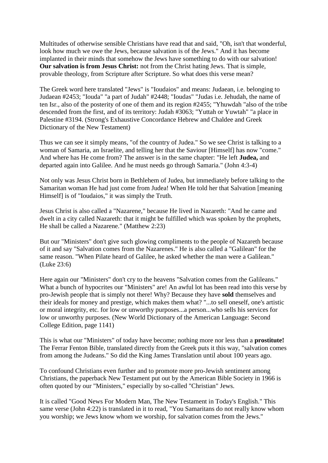Multitudes of otherwise sensible Christians have read that and said, "Oh, isn't that wonderful, look how much we owe the Jews, because salvation is of the Jews." And it has become implanted in their minds that somehow the Jews have something to do with our salvation! **Our salvation is from Jesus Christ:** not from the Christ hating Jews. That is simple, provable theology, from Scripture after Scripture. So what does this verse mean?

The Greek word here translated "Jews" is "Ioudaios" and means: Judaean, i.e. belonging to Judaean #2453; "Iouda" "a part of Judah" #2448; "Ioudas" "Judas i.e. Jehudah, the name of ten Isr., also of the posterity of one of them and its region #2455; "Yhuwdah "also of the tribe descended from the first, and of its territory: Judah #3063; "Yuttah or Yuwtah" "a place in Palestine #3194. (Strong's Exhaustive Concordance Hebrew and Chaldee and Greek Dictionary of the New Testament)

Thus we can see it simply means, "of the country of Judea." So we see Christ is talking to a woman of Samaria, an Israelite, and telling her that the Saviour [Himself] has now "come." And where has He come from? The answer is in the same chapter: "He left **Judea,** and departed again into Galilee. And he must needs go through Samaria." (John 4:3-4)

Not only was Jesus Christ born in Bethlehem of Judea, but immediately before talking to the Samaritan woman He had just come from Judea! When He told her that Salvation [meaning Himself] is of "Ioudaios," it was simply the Truth.

Jesus Christ is also called a "Nazarene," because He lived in Nazareth: "And he came and dwelt in a city called Nazareth: that it might be fulfilled which was spoken by the prophets, He shall be called a Nazarene." (Matthew 2:23)

But our "Ministers" don't give such glowing compliments to the people of Nazareth because of it and say "Salvation comes from the Nazarenes." He is also called a "Galilean" for the same reason. "When Pilate heard of Galilee, he asked whether the man were a Galilean." (Luke 23:6)

Here again our "Ministers" don't cry to the heavens "Salvation comes from the Galileans." What a bunch of hypocrites our "Ministers" are! An awful lot has been read into this verse by pro-Jewish people that is simply not there! Why? Because they have **sold** themselves and their ideals for money and prestige, which makes them what? "...to sell oneself, one's artistic or moral integrity, etc. for low or unworthy purposes...a person...who sells his services for low or unworthy purposes. (New World Dictionary of the American Language: Second College Edition, page 1141)

This is what our "Ministers" of today have become; nothing more nor less than a **prostitute!** The Ferrar Fenton Bible, translated directly from the Greek puts it this way, "salvation comes from among the Judeans." So did the King James Translation until about 100 years ago.

To confound Christians even further and to promote more pro-Jewish sentiment among Christians, the paperback New Testament put out by the American Bible Society in 1966 is often quoted by our "Ministers," especially by so-called "Christian" Jews.

It is called "Good News For Modern Man, The New Testament in Today's English." This same verse (John 4:22) is translated in it to read, "You Samaritans do not really know whom you worship; we Jews know whom we worship, for salvation comes from the Jews."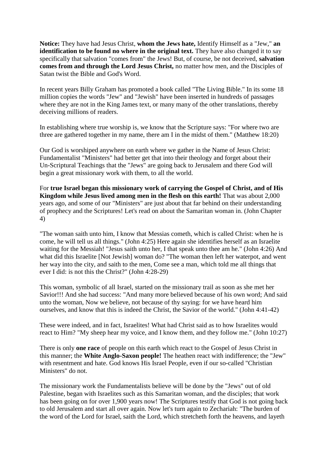**Notice:** They have had Jesus Christ, **whom the Jews hate,** Identify Himself as a "Jew," **an identification to be found no where in the original text.** They have also changed it to say specifically that salvation "comes from" the Jews! But, of course, be not deceived, **salvation comes from and through the Lord Jesus Christ,** no matter how men, and the Disciples of Satan twist the Bible and God's Word.

In recent years Billy Graham has promoted a book called "The Living Bible." In its some 18 million copies the words "Jew" and "Jewish" have been inserted in hundreds of passages where they are not in the King James text, or many many of the other translations, thereby deceiving millions of readers.

In establishing where true worship is, we know that the Scripture says: "For where two are three are gathered together in my name, there am I in the midst of them." (Matthew 18:20)

Our God is worshiped anywhere on earth where we gather in the Name of Jesus Christ: Fundamentalist "Ministers" had better get that into their theology and forget about their Un-Scriptural Teachings that the "Jews" are going back to Jerusalem and there God will begin a great missionary work with them, to all the world.

For **true Israel began this missionary work of carrying the Gospel of Christ, and of His Kingdom while Jesus lived among men in the flesh on this earth!** That was about 2,000 years ago, and some of our "Ministers" are just about that far behind on their understanding of prophecy and the Scriptures! Let's read on about the Samaritan woman in. (John Chapter 4)

"The woman saith unto him, I know that Messias cometh, which is called Christ: when he is come, he will tell us all things." (John 4:25) Here again she identifies herself as an Israelite waiting for the Messiah! "Jesus saith unto her, I that speak unto thee am he." (John 4:26) And what did this Israelite [Not Jewish] woman do? "The woman then left her waterpot, and went her way into the city, and saith to the men, Come see a man, which told me all things that ever I did: is not this the Christ?" (John 4:28-29)

This woman, symbolic of all Israel, started on the missionary trail as soon as she met her Savior!!! And she had success: "And many more believed because of his own word; And said unto the woman, Now we believe, not because of thy saying: for we have heard him ourselves, and know that this is indeed the Christ, the Savior of the world." (John 4:41-42)

These were indeed, and in fact, Israelites! What had Christ said as to how Israelites would react to Him? "My sheep hear my voice, and I know them, and they follow me." (John 10:27)

There is only **one race** of people on this earth which react to the Gospel of Jesus Christ in this manner; the **White Anglo-Saxon people!** The heathen react with indifference; the "Jew" with resentment and hate. God knows His Israel People, even if our so-called "Christian Ministers" do not.

The missionary work the Fundamentalists believe will be done by the "Jews" out of old Palestine, began with Israelites such as this Samaritan woman, and the disciples; that work has been going on for over 1,900 years now! The Scriptures testify that God is not going back to old Jerusalem and start all over again. Now let's turn again to Zechariah: "The burden of the word of the Lord for Israel, saith the Lord, which stretcheth forth the heavens, and layeth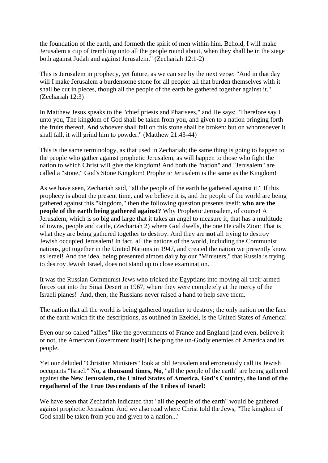the foundation of the earth, and formeth the spirit of men within him. Behold, I will make Jerusalem a cup of trembling unto all the people round about, when they shall be in the siege both against Judah and against Jerusalem." (Zechariah 12:1-2)

This is Jerusalem in prophecy, yet future, as we can see by the next verse: "And in that day will I make Jerusalem a burdensome stone for all people: all that burden themselves with it shall be cut in pieces, though all the people of the earth be gathered together against it." (Zechariah 12:3)

In Matthew Jesus speaks to the "chief priests and Pharisees," and He says: "Therefore say I unto you, The kingdom of God shall be taken from you, and given to a nation bringing forth the fruits thereof. And whoever shall fall on this stone shall be broken: but on whomsoever it shall fall, it will grind him to powder." (Matthew 21:43-44)

This is the same terminology, as that used in Zechariah; the same thing is going to happen to the people who gather against prophetic Jerusalem, as will happen to those who fight the nation to which Christ will give the kingdom! And both the "nation" and "Jerusalem" are called a "stone," God's Stone Kingdom! Prophetic Jerusalem is the same as the Kingdom!

As we have seen, Zechariah said, "all the people of the earth be gathered against it." If this prophecy is about the present time, and we believe it is, and the people of the world are being gathered against this "kingdom," then the following question presents itself: **who are the people of the earth being gathered against?** Why Prophetic Jerusalem, of course! A Jerusalem, which is so big and large that it takes an angel to measure it, that has a multitude of towns, people and cattle, (Zechariah 2) where God dwells, the one He calls Zion: That is what they are being gathered together to destroy. And they are **not** all trying to destroy Jewish occupied Jerusalem! In fact, all the nations of the world, including the Communist nations, got together in the United Nations in 1947, and created the nation we presently know as Israel! And the idea, being presented almost daily by our "Ministers," that Russia is trying to destroy Jewish Israel, does not stand up to close examination.

It was the Russian Communist Jews who tricked the Egyptians into moving all their armed forces out into the Sinai Desert in 1967, where they were completely at the mercy of the Israeli planes! And, then, the Russians never raised a hand to help save them.

The nation that all the world is being gathered together to destroy; the only nation on the face of the earth which fit the descriptions, as outlined in Ezekiel, is the United States of America!

Even our so-called "allies" like the governments of France and England [and even, believe it or not, the American Government itself] is helping the un-Godly enemies of America and its people.

Yet our deluded "Christian Ministers" look at old Jerusalem and erroneously call its Jewish occupants "Israel." **No, a thousand times, No,** "all the people of the earth" are being gathered against **the New Jerusalem, the United States of America, God's Country, the land of the regathered of the True Descendants of the Tribes of Israel!**

We have seen that Zechariah indicated that "all the people of the earth" would be gathered against prophetic Jerusalem. And we also read where Christ told the Jews, "The kingdom of God shall be taken from you and given to a nation..."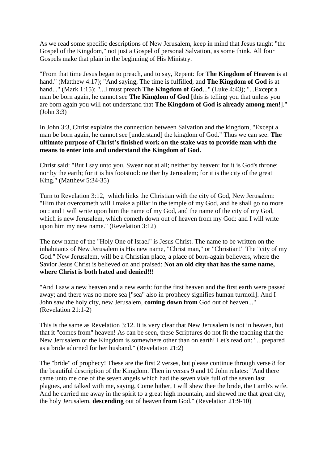As we read some specific descriptions of New Jerusalem, keep in mind that Jesus taught "the Gospel of the Kingdom," not just a Gospel of personal Salvation, as some think. All four Gospels make that plain in the beginning of His Ministry.

"From that time Jesus began to preach, and to say, Repent: for **The Kingdom of Heaven** is at hand." (Matthew 4:17); "And saying, The time is fulfilled, and **The Kingdom of God** is at hand..." (Mark 1:15); "...I must preach **The Kingdom of God**..." (Luke 4:43); "...Except a man be born again, he cannot see **The Kingdom of God** [this is telling you that unless you are born again you will not understand that **The Kingdom of God is already among men!**]." (John 3:3)

In John 3:3, Christ explains the connection between Salvation and the kingdom, "Except a man be born again, he cannot see [understand] the kingdom of God." Thus we can see: **The ultimate purpose of Christ's finished work on the stake was to provide man with the means to enter into and understand the Kingdom of God.**

Christ said: "But I say unto you, Swear not at all; neither by heaven: for it is God's throne: nor by the earth; for it is his footstool: neither by Jerusalem; for it is the city of the great King." (Matthew 5:34-35)

Turn to Revelation 3:12, which links the Christian with the city of God, New Jerusalem: "Him that overcometh will I make a pillar in the temple of my God, and he shall go no more out: and I will write upon him the name of my God, and the name of the city of my God, which is new Jerusalem, which cometh down out of heaven from my God: and I will write upon him my new name." (Revelation 3:12)

The new name of the "Holy One of Israel" is Jesus Christ. The name to be written on the inhabitants of New Jerusalem is His new name, "Christ man," or "Christian!" The "city of my God." New Jerusalem, will be a Christian place, a place of born-again believers, where the Savior Jesus Christ is believed on and praised: **Not an old city that has the same name, where Christ is both hated and denied!!!**

"And I saw a new heaven and a new earth: for the first heaven and the first earth were passed away; and there was no more sea ["sea" also in prophecy signifies human turmoil]. And I John saw the holy city, new Jerusalem, **coming down from** God out of heaven..." (Revelation 21:1-2)

This is the same as Revelation 3:12. It is very clear that New Jerusalem is not in heaven, but that it "comes from" heaven! As can be seen, these Scriptures do not fit the teaching that the New Jerusalem or the Kingdom is somewhere other than on earth! Let's read on: "...prepared as a bride adorned for her husband." (Revelation 21:2)

The "bride" of prophecy! These are the first 2 verses, but please continue through verse 8 for the beautiful description of the Kingdom. Then in verses 9 and 10 John relates: "And there came unto me one of the seven angels which had the seven vials full of the seven last plagues, and talked with me, saying, Come hither, I will shew thee the bride, the Lamb's wife. And he carried me away in the spirit to a great high mountain, and shewed me that great city, the holy Jerusalem, **descending** out of heaven **from** God." (Revelation 21:9-10)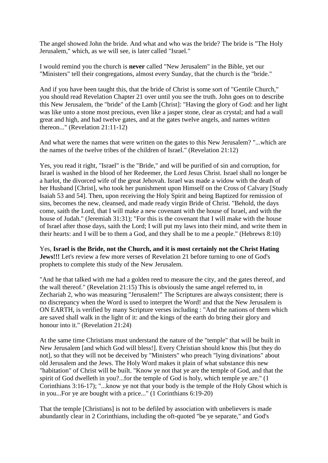The angel showed John the bride. And what and who was the bride? The bride is "The Holy Jerusalem," which, as we will see, is later called "Israel."

I would remind you the church is **never** called "New Jerusalem" in the Bible, yet our "Ministers" tell their congregations, almost every Sunday, that the church is the "bride."

And if you have been taught this, that the bride of Christ is some sort of "Gentile Church," you should read Revelation Chapter 21 over until you see the truth. John goes on to describe this New Jerusalem, the "bride" of the Lamb [Christ]: "Having the glory of God: and her light was like unto a stone most precious, even like a jasper stone, clear as crystal; and had a wall great and high, and had twelve gates, and at the gates twelve angels, and names written thereon..." (Revelation 21:11-12)

And what were the names that were written on the gates to this New Jerusalem? "...which are the names of the twelve tribes of the children of Israel." (Revelation 21:12)

Yes, you read it right, "Israel" is the "Bride," and will be purified of sin and corruption, for Israel is washed in the blood of her Redeemer, the Lord Jesus Christ. Israel shall no longer be a harlot, the divorced wife of the great Jehovah. Israel was made a widow with the death of her Husband [Christ], who took her punishment upon Himself on the Cross of Calvary [Study Isaiah 53 and 54]. Then, upon receiving the Holy Spirit and being Baptized for remission of sins, becomes the new, cleansed, and made ready virgin Bride of Christ. "Behold, the days come, saith the Lord, that I will make a new covenant with the house of Israel, and with the house of Judah." (Jeremiah 31:31); "For this is the covenant that I will make with the house of Israel after those days, saith the Lord; I will put my laws into their mind, and write them in their hearts: and I will be to them a God, and they shall be to me a people." (Hebrews 8:10)

Yes, **Israel is the Bride, not the Church, and it is most certainly not the Christ Hating Jews!!!** Let's review a few more verses of Revelation 21 before turning to one of God's prophets to complete this study of the New Jerusalem.

"And he that talked with me had a golden reed to measure the city, and the gates thereof, and the wall thereof." (Revelation 21:15) This is obviously the same angel referred to, in Zechariah 2, who was measuring "Jerusalem!" The Scriptures are always consistent; there is no discrepancy when the Word is used to interpret the Word! and that the New Jerusalem is ON EARTH, is verified by many Scripture verses including : "And the nations of them which are saved shall walk in the light of it: and the kings of the earth do bring their glory and honour into it." (Revelation 21:24)

At the same time Christians must understand the nature of the "temple" that will be built in New Jerusalem [and which God will bless!]. Every Christian should know this [but they do not], so that they will not be deceived by "Ministers" who preach "lying divinations" about old Jerusalem and the Jews. The Holy Word makes it plain of what substance this new "habitation" of Christ will be built. "Know ye not that ye are the temple of God, and that the spirit of God dwelleth in you?...for the temple of God is holy, which temple ye are." (1 Corinthians 3:16-17); "...know ye not that your body is the temple of the Holy Ghost which is in you...For ye are bought with a price..." (1 Corinthians 6:19-20)

That the temple [Christians] is not to be defiled by association with unbelievers is made abundantly clear in 2 Corinthians, including the oft-quoted "be ye separate," and God's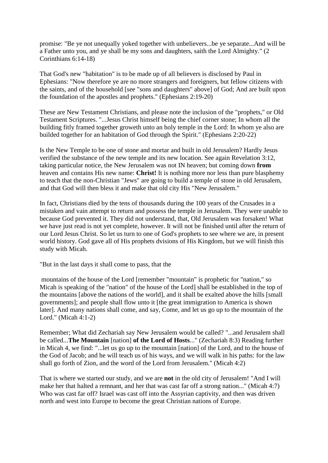promise: "Be ye not unequally yoked together with unbelievers...be ye separate...And will be a Father unto you, and ye shall be my sons and daughters, saith the Lord Almighty." (2 Corinthians 6:14-18)

That God's new "habitation" is to be made up of all believers is disclosed by Paul in Ephesians: "Now therefore ye are no more strangers and foreigners, but fellow citizens with the saints, and of the household [see "sons and daughters" above] of God; And are built upon the foundation of the apostles and prophets." (Ephesians 2:19-20)

These are New Testament Christians, and please note the inclusion of the "prophets," or Old Testament Scriptures. "...Jesus Christ himself being the chief corner stone; In whom all the building fitly framed together groweth unto an holy temple in the Lord: In whom ye also are builded together for an habitation of God through the Spirit." (Ephesians 2:20-22)

Is the New Temple to be one of stone and mortar and built in old Jerusalem? Hardly Jesus verified the substance of the new temple and its new location. See again Revelation 3:12, taking particular notice, the New Jerusalem was not IN heaven; but coming down **from** heaven and contains His new name: **Christ!** It is nothing more nor less than pure blasphemy to teach that the non-Christian "Jews" are going to build a temple of stone in old Jerusalem, and that God will then bless it and make that old city His "New Jerusalem."

In fact, Christians died by the tens of thousands during the 100 years of the Crusades in a mistaken and vain attempt to return and possess the temple in Jerusalem. They were unable to because God prevented it. They did not understand, that, Old Jerusalem was forsaken! What we have just read is not yet complete, however. It will not be finished until after the return of our Lord Jesus Christ. So let us turn to one of God's prophets to see where we are, in present world history. God gave all of His prophets dvisions of His Kingdom, but we will finish this study with Micah.

"But in the last days it shall come to pass, that the

mountains of the house of the Lord [remember "mountain" is prophetic for "nation," so Micah is speaking of the "nation" of the house of the Lord] shall be established in the top of the mountains [above the nations of the world], and it shall be exalted above the hills [small governments]; and people shall flow unto it [the great immigration to America is shown later]. And many nations shall come, and say, Come, and let us go up to the mountain of the Lord." (Micah 4:1-2)

Remember; What did Zechariah say New Jerusalem would be called? "...and Jerusalem shall be called...**The Mountain** [nation] **of the Lord of Hosts**..." (Zechariah 8:3) Reading further in Micah 4, we find: "...let us go up to the mountain [nation] of the Lord, and to the house of the God of Jacob; and he will teach us of his ways, and we will walk in his paths: for the law shall go forth of Zion, and the word of the Lord from Jerusalem." (Micah 4:2)

That is where we started our study, and we are **not** in the old city of Jerusalem! "And I will make her that halted a remnant, and her that was cast far off a strong nation..." (Micah 4:7) Who was cast far off? Israel was cast off into the Assyrian captivity, and then was driven north and west into Europe to become the great Christian nations of Europe.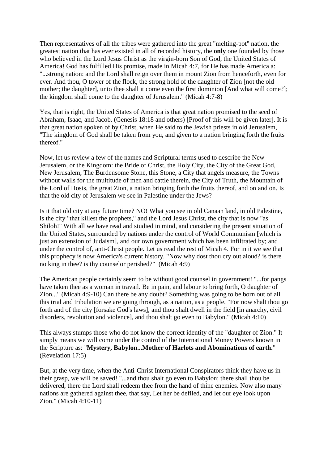Then representatives of all the tribes were gathered into the great "melting-pot" nation, the greatest nation that has ever existed in all of recorded history, the **only** one founded by those who believed in the Lord Jesus Christ as the virgin-born Son of God, the United States of America! God has fulfilled His promise, made in Micah 4:7, for He has made America a: "...strong nation: and the Lord shall reign over them in mount Zion from henceforth, even for ever. And thou, O tower of the flock, the strong hold of the daughter of Zion [not the old mother; the daughter], unto thee shall it come even the first dominion [And what will come?]; the kingdom shall come to the daughter of Jerusalem." (Micah 4:7-8)

Yes, that is right, the United States of America is that great nation promised to the seed of Abraham, Isaac, and Jacob. (Genesis 18:18 and others) [Proof of this will be given later]. It is that great nation spoken of by Christ, when He said to the Jewish priests in old Jerusalem, "The kingdom of God shall be taken from you, and given to a nation bringing forth the fruits thereof."

Now, let us review a few of the names and Scriptural terms used to describe the New Jerusalem, or the Kingdom: the Bride of Christ, the Holy City, the City of the Great God, New Jerusalem, The Burdensome Stone, this Stone, a City that angels measure, the Towns without walls for the multitude of men and cattle therein, the City of Truth, the Mountain of the Lord of Hosts, the great Zion, a nation bringing forth the fruits thereof, and on and on. Is that the old city of Jerusalem we see in Palestine under the Jews?

Is it that old city at any future time? NO! What you see in old Canaan land, in old Palestine, is the city "that killest the prophets," and the Lord Jesus Christ, the city that is now "as Shiloh!" With all we have read and studied in mind, and considering the present situation of the United States, surrounded by nations under the control of World Communism [which is just an extension of Judaism], and our own government which has been infiltrated by; and under the control of, anti-Christ people. Let us read the rest of Micah 4. For in it we see that this prophecy is now America's current history. "Now why dost thou cry out aloud? is there no king in thee? is thy counselor perished?" (Micah 4:9)

The American people certainly seem to be without good counsel in government! "...for pangs have taken thee as a woman in travail. Be in pain, and labour to bring forth, O daughter of Zion..." (Micah 4:9-10) Can there be any doubt? Something was going to be born out of all this trial and tribulation we are going through, as a nation, as a people. "For now shalt thou go forth and of the city [forsake God's laws], and thou shalt dwell in the field [in anarchy, civil disorders, revolution and violence], and thou shalt go even to Babylon." (Micah 4:10)

This always stumps those who do not know the correct identity of the "daughter of Zion." It simply means we will come under the control of the International Money Powers known in the Scripture as: "**Mystery, Babylon...Mother of Harlots and Abominations of earth.**" (Revelation 17:5)

But, at the very time, when the Anti-Christ International Conspirators think they have us in their grasp, we will be saved! "...and thou shalt go even to Babylon; there shall thou be delivered, there the Lord shall redeem thee from the hand of thine enemies. Now also many nations are gathered against thee, that say, Let her be defiled, and let our eye look upon Zion." (Micah 4:10-11)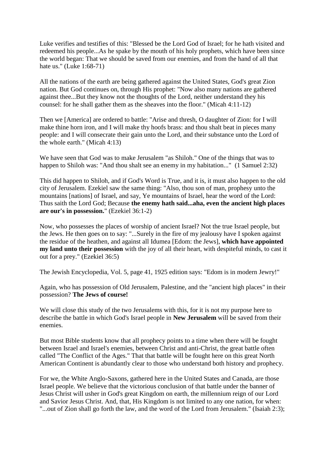Luke verifies and testifies of this: "Blessed be the Lord God of Israel; for he hath visited and redeemed his people...As he spake by the mouth of his holy prophets, which have been since the world began: That we should be saved from our enemies, and from the hand of all that hate us." (Luke 1:68-71)

All the nations of the earth are being gathered against the United States, God's great Zion nation. But God continues on, through His prophet: "Now also many nations are gathered against thee...But they know not the thoughts of the Lord, neither understand they his counsel: for he shall gather them as the sheaves into the floor." (Micah 4:11-12)

Then we [America] are ordered to battle: "Arise and thresh, O daughter of Zion: for I will make thine horn iron, and I will make thy hoofs brass: and thou shalt beat in pieces many people: and I will consecrate their gain unto the Lord, and their substance unto the Lord of the whole earth." (Micah 4:13)

We have seen that God was to make Jerusalem "as Shiloh." One of the things that was to happen to Shiloh was: "And thou shalt see an enemy in my habitation..." (1 Samuel 2:32)

This did happen to Shiloh, and if God's Word is True, and it is, it must also happen to the old city of Jerusalem. Ezekiel saw the same thing: "Also, thou son of man, prophesy unto the mountains [nations] of Israel, and say, Ye mountains of Israel, hear the word of the Lord: Thus saith the Lord God; Because **the enemy hath said...aha, even the ancient high places are our's in possession.**" (Ezekiel 36:1-2)

Now, who possesses the places of worship of ancient Israel? Not the true Israel people, but the Jews. He then goes on to say: "...Surely in the fire of my jealousy have I spoken against the residue of the heathen, and against all Idumea [Edom: the Jews], **which have appointed my land unto their possession** with the joy of all their heart, with despiteful minds, to cast it out for a prey." (Ezekiel 36:5)

The Jewish Encyclopedia, Vol. 5, page 41, 1925 edition says: "Edom is in modern Jewry!"

Again, who has possession of Old Jerusalem, Palestine, and the "ancient high places" in their possession? **The Jews of course!**

We will close this study of the two Jerusalems with this, for it is not my purpose here to describe the battle in which God's Israel people in **New Jerusalem** will be saved from their enemies.

But most Bible students know that all prophecy points to a time when there will be fought between Israel and Israel's enemies, between Christ and anti-Christ, the great battle often called "The Conflict of the Ages." That that battle will be fought here on this great North American Continent is abundantly clear to those who understand both history and prophecy.

For we, the White Anglo-Saxons, gathered here in the United States and Canada, are those Israel people. We believe that the victorious conclusion of that battle under the banner of Jesus Christ will usher in God's great Kingdom on earth, the millennium reign of our Lord and Savior Jesus Christ. And, that, His Kingdom is not limited to any one nation, for when: "...out of Zion shall go forth the law, and the word of the Lord from Jerusalem." (Isaiah 2:3);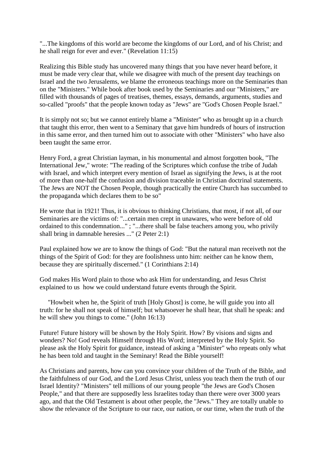"...The kingdoms of this world are become the kingdoms of our Lord, and of his Christ; and he shall reign for ever and ever." (Revelation 11:15)

Realizing this Bible study has uncovered many things that you have never heard before, it must be made very clear that, while we disagree with much of the present day teachings on Israel and the two Jerusalems, we blame the erroneous teachings more on the Seminaries than on the "Ministers." While book after book used by the Seminaries and our "Ministers," are filled with thousands of pages of treatises, themes, essays, demands, arguments, studies and so-called "proofs" that the people known today as "Jews" are "God's Chosen People Israel."

It is simply not so; but we cannot entirely blame a "Minister" who as brought up in a church that taught this error, then went to a Seminary that gave him hundreds of hours of instruction in this same error, and then turned him out to associate with other "Ministers" who have also been taught the same error.

Henry Ford, a great Christian layman, in his monumental and almost forgotten book, "The International Jew," wrote: "The reading of the Scriptures which confuse the tribe of Judah with Israel, and which interpret every mention of Israel as signifying the Jews, is at the root of more than one-half the confusion and division traceable in Christian doctrinal statements. The Jews are NOT the Chosen People, though practically the entire Church has succumbed to the propaganda which declares them to be so"

He wrote that in 1921! Thus, it is obvious to thinking Christians, that most, if not all, of our Seminaries are the victims of: "...certain men crept in unawares, who were before of old ordained to this condemnation..." ; "...there shall be false teachers among you, who privily shall bring in damnable heresies ..." (2 Peter 2:1)

Paul explained how we are to know the things of God: "But the natural man receiveth not the things of the Spirit of God: for they are foolishness unto him: neither can he know them, because they are spiritually discerned." (1 Corinthians 2:14)

God makes His Word plain to those who ask Him for understanding, and Jesus Christ explained to us how we could understand future events through the Spirit.

 "Howbeit when he, the Spirit of truth [Holy Ghost] is come, he will guide you into all truth: for he shall not speak of himself; but whatsoever he shall hear, that shall he speak: and he will shew you things to come." (John 16:13)

Future! Future history will be shown by the Holy Spirit. How? By visions and signs and wonders? No! God reveals Himself through His Word; interpreted by the Holy Spirit. So please ask the Holy Spirit for guidance, instead of asking a "Minister" who repeats only what he has been told and taught in the Seminary! Read the Bible yourself!

As Christians and parents, how can you convince your children of the Truth of the Bible, and the faithfulness of our God, and the Lord Jesus Christ, unless you teach them the truth of our Israel Identity? "Ministers" tell millions of our young people "the Jews are God's Chosen People," and that there are supposedly less Israelites today than there were over 3000 years ago, and that the Old Testament is about other people, the "Jews." They are totally unable to show the relevance of the Scripture to our race, our nation, or our time, when the truth of the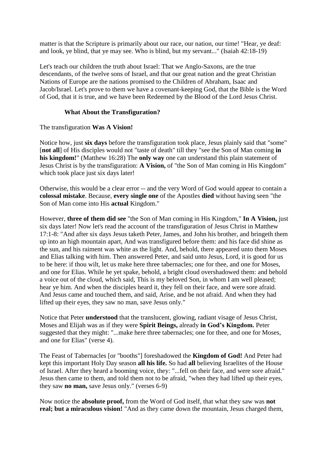matter is that the Scripture is primarily about our race, our nation, our time! "Hear, ye deaf: and look, ye blind, that ye may see. Who is blind, but my servant..." (Isaiah 42:18-19)

Let's teach our children the truth about Israel: That we Anglo-Saxons, are the true descendants, of the twelve sons of Israel, and that our great nation and the great Christian Nations of Europe are the nations promised to the Children of Abraham, Isaac and Jacob/Israel. Let's prove to them we have a covenant-keeping God, that the Bible is the Word of God, that it is true, and we have been Redeemed by the Blood of the Lord Jesus Christ.

## **What About the Transfiguration?**

## The transfiguration **Was A Vision!**

Notice how, just **six days** before the transfiguration took place, Jesus plainly said that "some" [**not all**] of His disciples would not "taste of death" till they "see the Son of Man coming **in his kingdom!**" (Matthew 16:28) The **only way** one can understand this plain statement of Jesus Christ is by the transfiguration: **A Vision,** of "the Son of Man coming in His Kingdom" which took place just six days later!

Otherwise, this would be a clear error -- and the very Word of God would appear to contain a **colossal mistake**. Because, **every single one** of the Apostles **died** without having seen "the Son of Man come into His **actual** Kingdom."

However, **three of them did see** "the Son of Man coming in His Kingdom," **In A Vision,** just six days later! Now let's read the account of the transfiguration of Jesus Christ in Matthew 17:1-8: "And after six days Jesus taketh Peter, James, and John his brother, and bringeth them up into an high mountain apart, And was transfigured before them: and his face did shine as the sun, and his raiment was white as the light. And, behold, there appeared unto them Moses and Elias talking with him. Then answered Peter, and said unto Jesus, Lord, it is good for us to be here: if thou wilt, let us make here three tabernacles; one for thee, and one for Moses, and one for Elias. While he yet spake, behold, a bright cloud overshadowed them: and behold a voice out of the cloud, which said, This is my beloved Son, in whom I am well pleased; hear ye him. And when the disciples heard it, they fell on their face, and were sore afraid. And Jesus came and touched them, and said, Arise, and be not afraid. And when they had lifted up their eyes, they saw no man, save Jesus only."

Notice that Peter **understood** that the translucent, glowing, radiant visage of Jesus Christ, Moses and Elijah was as if they were **Spirit Beings,** already **in God's Kingdom.** Peter suggested that they might: "...make here three tabernacles; one for thee, and one for Moses, and one for Elias" (verse 4).

The Feast of Tabernacles [or "booths"] foreshadowed the **Kingdom of God!** And Peter had kept this important Holy Day season **all his life.** So had **all** believing Israelites of the House of Israel. After they heard a booming voice, they: "...fell on their face, and were sore afraid." Jesus then came to them, and told them not to be afraid, "when they had lifted up their eyes, they saw **no man,** save Jesus only." (verses 6-9)

Now notice the **absolute proof,** from the Word of God itself, that what they saw was **not real; but a miraculous vision!** "And as they came down the mountain, Jesus charged them,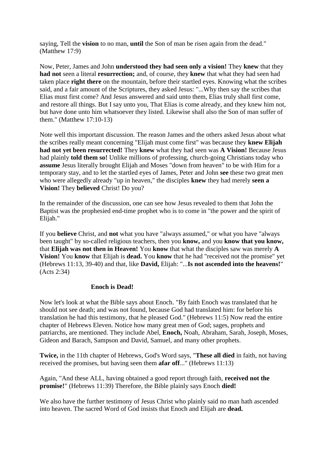saying, Tell the **vision** to no man, **until** the Son of man be risen again from the dead." (Matthew 17:9)

Now, Peter, James and John **understood they had seen only a vision!** They **knew** that they **had not** seen a literal **resurrection;** and, of course, they **knew** that what they had seen had taken place **right there** on the mountain, before their startled eyes. Knowing what the scribes said, and a fair amount of the Scriptures, they asked Jesus: "...Why then say the scribes that Elias must first come? And Jesus answered and said unto them, Elias truly shall first come, and restore all things. But I say unto you, That Elias is come already, and they knew him not, but have done unto him whatsoever they listed. Likewise shall also the Son of man suffer of them." (Matthew 17:10-13)

Note well this important discussion. The reason James and the others asked Jesus about what the scribes really meant concerning "Elijah must come first" was because they **knew Elijah had not yet been resurrected!** They **knew** what they had seen was **A Vision!** Because Jesus had plainly **told them so!** Unlike millions of professing, church-going Christians today who **assume** Jesus literally brought Elijah and Moses "down from heaven" to be with Him for a temporary stay, and to let the startled eyes of James, Peter and John **see** these two great men who were allegedly already "up in heaven," the disciples **knew** they had merely **seen a Vision!** They **believed** Christ! Do you?

In the remainder of the discussion, one can see how Jesus revealed to them that John the Baptist was the prophesied end-time prophet who is to come in "the power and the spirit of Elijah."

If you **believe** Christ, and **not** what you have "always assumed," or what you have "always been taught" by so-called religious teachers, then you **know,** and you **know that you know,** that **Elijah was not then in Heaven!** You **know** that what the disciples saw was merely **A Vision!** You **know** that Elijah is **dead.** You **know** that he had "received not the promise" yet (Hebrews 11:13, 39-40) and that, like **David,** Elijah: "...**Is not ascended into the heavens!**" (Acts 2:34)

#### **Enoch is Dead!**

Now let's look at what the Bible says about Enoch. "By faith Enoch was translated that he should not see death; and was not found, because God had translated him: for before his translation he had this testimony, that he pleased God." (Hebrews 11:5) Now read the entire chapter of Hebrews Eleven. Notice how many great men of God; sages, prophets and patriarchs, are mentioned. They include Abel, **Enoch,** Noah, Abraham, Sarah, Joseph, Moses, Gideon and Barach, Sampson and David, Samuel, and many other prophets.

**Twice,** in the 11th chapter of Hebrews, God's Word says, "**These all died** in faith, not having received the promises, but having seen them **afar off**..." (Hebrews 11:13)

Again, "And these ALL, having obtained a good report through faith, **received not the promise!**" (Hebrews 11:39) Therefore, the Bible plainly says Enoch **died!**

We also have the further testimony of Jesus Christ who plainly said no man hath ascended into heaven. The sacred Word of God insists that Enoch and Elijah are **dead.**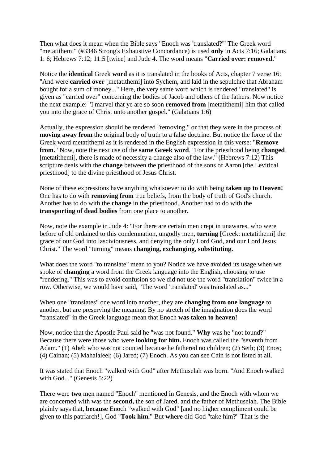Then what does it mean when the Bible says "Enoch was 'translated?'" The Greek word "metatithemi" (#3346 Strong's Exhaustive Concordance) is used **only** in Acts 7:16; Galatians 1: 6; Hebrews 7:12; 11:5 [twice] and Jude 4. The word means "**Carried over: removed.**"

Notice the **identical** Greek **word** as it is translated in the books of Acts, chapter 7 verse 16: "And were **carried over** [metatithemi] into Sychem, and laid in the sepulchre that Abraham bought for a sum of money..." Here, the very same word which is rendered "translated" is given as "carried over" concerning the bodies of Jacob and others of the fathers. Now notice the next example: "I marvel that ye are so soon **removed from** [metatithemi] him that called you into the grace of Christ unto another gospel." (Galatians 1:6)

Actually, the expression should be rendered "removing," or that they were in the process of **moving away from** the original body of truth to a false doctrine. But notice the force of the Greek word metatithemi as it is rendered in the English expression in this verse: "**Remove from.**" Now, note the next use of the **same Greek word**. "For the priesthood being **changed** [metatithemi], there is made of necessity a change also of the law." (Hebrews 7:12) This scripture deals with the **change** between the priesthood of the sons of Aaron [the Levitical priesthood] to the divine priesthood of Jesus Christ.

None of these expressions have anything whatsoever to do with being **taken up to Heaven!** One has to do with **removing from** true beliefs, from the body of truth of God's church. Another has to do with the **change** in the priesthood. Another had to do with the **transporting of dead bodies** from one place to another.

Now, note the example in Jude 4: "For there are certain men crept in unawares, who were before of old ordained to this condemnation, ungodly men, **turning** [Greek: metatithemi] the grace of our God into lasciviousness, and denying the only Lord God, and our Lord Jesus Christ." The word "turning" means **changing, exchanging, substituting.**

What does the word "to translate" mean to you? Notice we have avoided its usage when we spoke of **changing** a word from the Greek language into the English, choosing to use "rendering." This was to avoid confusion so we did not use the word "translation" twice in a row. Otherwise, we would have said, "The word 'translated' was translated as..."

When one "translates" one word into another, they are **changing from one language** to another, but are preserving the meaning. By no stretch of the imagination does the word "translated" in the Greek language mean that Enoch **was taken to heaven!**

Now, notice that the Apostle Paul said he "was not found." **Why** was he "not found?" Because there were those who were **looking for him.** Enoch was called the "seventh from Adam." (1) Abel: who was not counted because he fathered no children; (2) Seth; (3) Enos; (4) Cainan; (5) Mahalaleel; (6) Jared; (7) Enoch. As you can see Cain is not listed at all.

It was stated that Enoch "walked with God" after Methuselah was born. "And Enoch walked with God..." (Genesis 5:22)

There were **two** men named "Enoch" mentioned in Genesis, and the Enoch with whom we are concerned with was the **second,** the son of Jared, and the father of Methuselah. The Bible plainly says that, **because** Enoch "walked with God" [and no higher compliment could be given to this patriarch!], God "**Took him.**" But **where** did God "take him?" That is the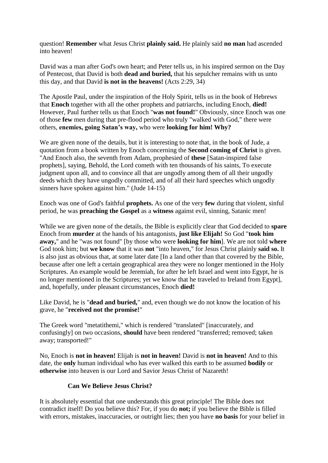question! **Remember** what Jesus Christ **plainly said.** He plainly said **no man** had ascended into heaven!

David was a man after God's own heart; and Peter tells us, in his inspired sermon on the Day of Pentecost, that David is both **dead and buried,** that his sepulcher remains with us unto this day, and that David **is not in the heavens!** (Acts 2:29, 34)

The Apostle Paul, under the inspiration of the Holy Spirit, tells us in the book of Hebrews that **Enoch** together with all the other prophets and patriarchs, including Enoch, **died!** However, Paul further tells us that Enoch "**was not found!**" Obviously, since Enoch was one of those **few** men during that pre-flood period who truly "walked with God," there were others, **enemies, going Satan's way,** who were **looking for him! Why?**

We are given none of the details, but it is interesting to note that, in the book of Jude, a quotation from a book written by Enoch concerning the **Second coming of Christ** is given. "And Enoch also, the seventh from Adam, prophesied of **these** [Satan-inspired false prophets], saying, Behold, the Lord cometh with ten thousands of his saints, To execute judgment upon all, and to convince all that are ungodly among them of all their ungodly deeds which they have ungodly committed, and of all their hard speeches which ungodly sinners have spoken against him." (Jude 14-15)

Enoch was one of God's faithful **prophets.** As one of the very **few** during that violent, sinful period, he was **preaching the Gospel** as a **witness** against evil, sinning, Satanic men!

While we are given none of the details, the Bible is explicitly clear that God decided to **spare** Enoch from **murder** at the hands of his antagonists, **just like Elijah!** So God "**took him away,**" and he "was not found" [by those who were **looking for him**]. We are not told **where** God took him; but **we know** that it was **not** "into heaven," for Jesus Christ plainly **said so.** It is also just as obvious that, at some later date [In a land other than that covered by the Bible, because after one left a certain geographical area they were no longer mentioned in the Holy Scriptures. An example would be Jeremiah, for after he left Israel and went into Egypt, he is no longer mentioned in the Scriptures; yet we know that he traveled to Ireland from Egypt], and, hopefully, under pleasant circumstances, Enoch **died!**

Like David, he is "**dead and buried,**" and, even though we do not know the location of his grave, he "**received not the promise!**"

The Greek word "metatithemi," which is rendered "translated" [inaccurately, and confusingly] on two occasions, **should** have been rendered "transferred; removed; taken away; transported!"

No, Enoch is **not in heaven!** Elijah is **not in heaven!** David is **not in heaven!** And to this date, the **only** human individual who has ever walked this earth to be assumed **bodily** or **otherwise** into heaven is our Lord and Savior Jesus Christ of Nazareth!

# **Can We Believe Jesus Christ?**

It is absolutely essential that one understands this great principle! The Bible does not contradict itself! Do you believe this? For, if you do **not;** if you believe the Bible is filled with errors, mistakes, inaccuracies, or outright lies; then you have **no basis** for your belief in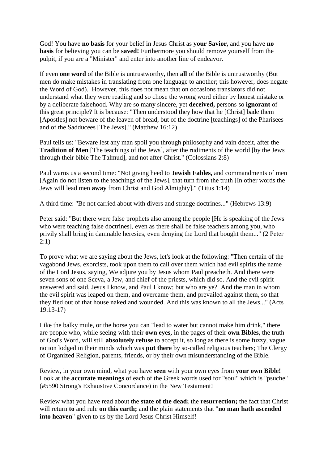God! You have **no basis** for your belief in Jesus Christ as **your Savior,** and you have **no basis** for believing you can be **saved!** Furthermore you should remove yourself from the pulpit, if you are a "Minister" and enter into another line of endeavor.

If even **one word** of the Bible is untrustworthy, then **all** of the Bible is untrustworthy (But men do make mistakes in translating from one language to another; this however, does negate the Word of God). However, this does not mean that on occasions translators did not understand what they were reading and so chose the wrong word either by honest mistake or by a deliberate falsehood. Why are so many sincere, yet **deceived,** persons so **ignorant** of this great principle? It is because: "Then understood they how that he [Christ] bade them [Apostles] not beware of the leaven of bread, but of the doctrine [teachings] of the Pharisees and of the Sadducees [The Jews]." (Matthew 16:12)

Paul tells us: "Beware lest any man spoil you through philosophy and vain deceit, after the **Tradition of Men** [The teachings of the Jews], after the rudiments of the world [by the Jews through their bible The Talmud], and not after Christ." (Colossians 2:8)

Paul warns us a second time: "Not giving heed to **Jewish Fables,** and commandments of men [Again do not listen to the teachings of the Jews], that turn from the truth [In other words the Jews will lead men **away** from Christ and God Almighty]." (Titus 1:14)

A third time: "Be not carried about with divers and strange doctrines..." (Hebrews 13:9)

Peter said: "But there were false prophets also among the people [He is speaking of the Jews who were teaching false doctrines], even as there shall be false teachers among you, who privily shall bring in damnable heresies, even denying the Lord that bought them..." (2 Peter 2:1)

To prove what we are saying about the Jews, let's look at the following: "Then certain of the vagabond Jews, exorcists, took upon them to call over them which had evil spirits the name of the Lord Jesus, saying, We adjure you by Jesus whom Paul preacheth. And there were seven sons of one Sceva, a Jew, and chief of the priests, which did so. And the evil spirit answered and said, Jesus I know, and Paul I know; but who are ye? And the man in whom the evil spirit was leaped on them, and overcame them, and prevailed against them, so that they fled out of that house naked and wounded. And this was known to all the Jews..." (Acts 19:13-17)

Like the balky mule, or the horse you can "lead to water but cannot make him drink," there are people who, while seeing with their **own eyes,** in the pages of their **own Bibles,** the truth of God's Word, will still **absolutely refuse** to accept it, so long as there is some fuzzy, vague notion lodged in their minds which was **put there** by so-called religious teachers; The Clergy of Organized Religion, parents, friends, or by their own misunderstanding of the Bible.

Review, in your own mind, what you have **seen** with your own eyes from **your own Bible!** Look at the **accurate meanings** of each of the Greek words used for "soul" which is "psuche" (#5590 Strong's Exhaustive Concordance) in the New Testament!

Review what you have read about the **state of the dead;** the **resurrection;** the fact that Christ will return **to** and rule **on this earth;** and the plain statements that "**no man hath ascended into heaven**" given to us by the Lord Jesus Christ Himself!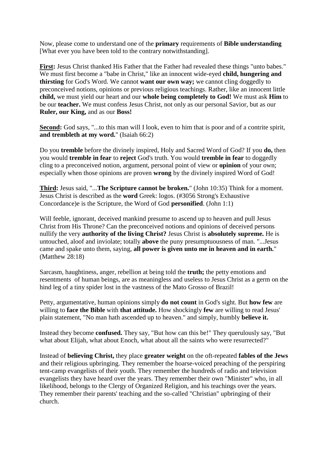Now, please come to understand one of the **primary** requirements of **Bible understanding** [What ever you have been told to the contrary notwithstanding].

**First:** Jesus Christ thanked His Father that the Father had revealed these things "unto babes." We must first become a "babe in Christ," like an innocent wide-eyed **child, hungering and thirsting** for God's Word. We cannot **want our own way;** we cannot cling doggedly to preconceived notions, opinions or previous religious teachings. Rather, like an innocent little **child,** we must yield our heart and our **whole being completely to God!** We must ask **Him** to be our **teacher.** We must confess Jesus Christ, not only as our personal Savior, but as our **Ruler, our King,** and as our **Boss!**

**Second:** God says, "...to this man will I look, even to him that is poor and of a contrite spirit, **and trembleth at my word.**" (Isaiah 66:2)

Do you **tremble** before the divinely inspired, Holy and Sacred Word of God? If you **do,** then you would **tremble in fear** to **reject** God's truth. You would **tremble in fear** to doggedly cling to a preconceived notion, argument, personal point of view or **opinion** of your own; especially when those opinions are proven **wrong** by the divinely inspired Word of God!

**Third:** Jesus said, "...**The Scripture cannot be broken.**" (John 10:35) Think for a moment. Jesus Christ is described as the **word** Greek: logos. (#3056 Strong's Exhaustive Concordance)e is the Scripture, the Word of God **personified**. (John 1:1)

Will feeble, ignorant, deceived mankind presume to ascend up to heaven and pull Jesus Christ from His Throne? Can the preconceived notions and opinions of deceived persons nullify the very **authority of the living Christ?** Jesus Christ is **absolutely supreme.** He is untouched, aloof and inviolate; totally **above** the puny presumptuousness of man. "...Jesus came and spake unto them, saying, **all power is given unto me in heaven and in earth.**" (Matthew 28:18)

Sarcasm, haughtiness, anger, rebellion at being told the **truth;** the petty emotions and resentments of human beings, are as meaningless and useless to Jesus Christ as a germ on the hind leg of a tiny spider lost in the vastness of the Mato Grosso of Brazil!

Petty, argumentative, human opinions simply **do not count** in God's sight. But **how few** are willing to **face the Bible** with **that attitude.** How shockingly **few** are willing to read Jesus' plain statement, "No man hath ascended up to heaven." and simply, humbly **believe it.**

Instead they become **confused.** They say, "But how can this be!" They querulously say, "But what about Elijah, what about Enoch, what about all the saints who were resurrected?"

Instead of **believing Christ,** they place **greater weight** on the oft-repeated **fables of the Jews** and their religious upbringing. They remember the hoarse-voiced preaching of the perspiring tent-camp evangelists of their youth. They remember the hundreds of radio and television evangelists they have heard over the years. They remember their own "Minister" who, in all likelihood, belongs to the Clergy of Organized Religion, and his teachings over the years. They remember their parents' teaching and the so-called "Christian" upbringing of their church.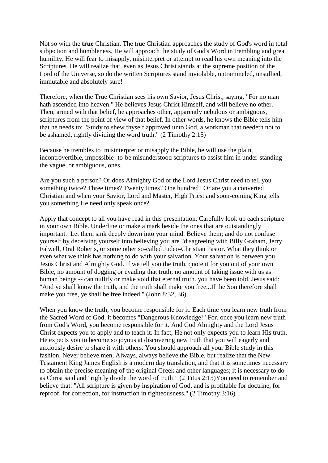Not so with the **true** Christian. The true Christian approaches the study of God's word in total subjection and humbleness. He will approach the study of God's Word in trembling and great humility. He will fear to misapply, misinterpret or attempt to read his own meaning into the Scriptures. He will realize that, even as Jesus Christ stands at the supreme position of the Lord of the Universe, so do the written Scriptures stand inviolable, untrammeled, unsullied, immutable and absolutely sure!

Therefore, when the True Christian sees his own Savior, Jesus Christ, saying, "For no man hath ascended into heaven." He believes Jesus Christ Himself, and will believe no other. Then, armed with that belief, he approaches other, apparently nebulous or ambiguous, scriptures from the point of view of that belief. In other words, he knows the Bible tells him that he needs to: "Study to shew thyself approved unto God, a workman that needeth not to be ashamed, rightly dividing the word truth." (2 Timothy 2:15)

Because he trembles to misinterpret or misapply the Bible, he will use the plain, incontrovertible, impossible- to-be misunderstood scriptures to assist him in under-standing the vague, or ambiguous, ones.

Are you such a person? Or does Almighty God or the Lord Jesus Christ need to tell you something twice? Three times? Twenty times? One hundred? Or are you a converted Christian and when your Savior, Lord and Master, High Priest and soon-coming King tells you something He need only speak once?

Apply that concept to all you have read in this presentation. Carefully look up each scripture in your own Bible. Underline or make a mark beside the ones that are outstandingly important. Let them sink deeply down into your mind. Believe them; and do not confuse yourself by deceiving yourself into believing you are "disagreeing with Billy Graham, Jerry Falwell, Oral Roberts, or some other so-called Judeo-Christian Pastor. What they think or even what we think has nothing to do with your salvation. Your salvation is between you, Jesus Christ and Almighty God. If we tell you the truth, quote it for you out of your own Bible, no amount of dogging or evading that truth; no amount of taking issue with us as human beings -- can nullify or make void that eternal truth. you have been told. Jesus said: "And ye shall know the truth, and the truth shall make you free...If the Son therefore shall make you free, ye shall be free indeed." (John 8:32, 36)

When you know the truth, you become responsible for it. Each time you learn new truth from the Sacred Word of God, it becomes "Dangerous Knowledge!" For, once you learn new truth from God's Word, you become responsible for it. And God Almighty and the Lord Jesus Christ expects you to apply and to teach it. In fact, He not only expects you to learn His truth, He expects you to become so joyous at discovering new truth that you will eagerly and anxiously desire to share it with others. You should approach all your Bible study in this fashion. Never believe men, Always, always believe the Bible, but realize that the New Testament King James English is a modern day translation, and that it is sometimes necessary to obtain the precise meaning of the original Greek and other languages; it is necessary to do as Christ said and "rightly divide the word of truth!" (2 Titus 2:15)You need to remember and believe that: "All scripture is given by inspiration of God, and is profitable for doctrine, for reproof, for correction, for instruction in righteousness." (2 Timothy 3:16)